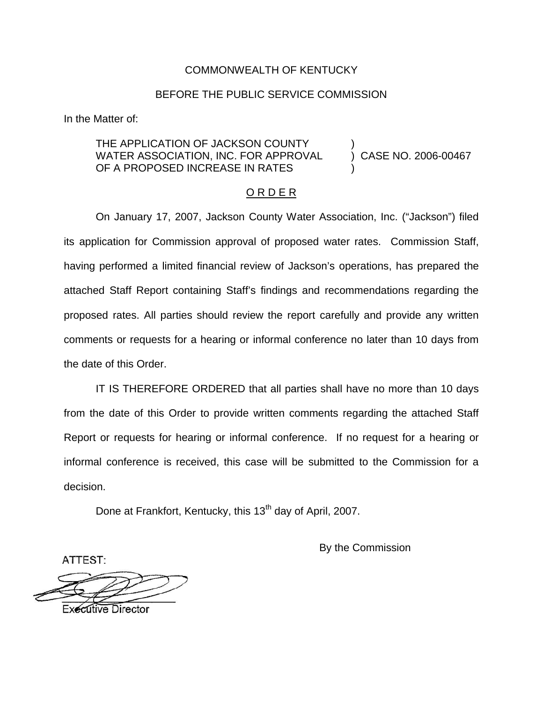### COMMONWEALTH OF KENTUCKY

### BEFORE THE PUBLIC SERVICE COMMISSION

In the Matter of:

### THE APPLICATION OF JACKSON COUNTY WATER ASSOCIATION, INC. FOR APPROVAL (2006-00467) CASE NO. 2006-00467 OF A PROPOSED INCREASE IN RATES

#### O R D E R

On January 17, 2007, Jackson County Water Association, Inc. ("Jackson") filed its application for Commission approval of proposed water rates. Commission Staff, having performed a limited financial review of Jackson's operations, has prepared the attached Staff Report containing Staff's findings and recommendations regarding the proposed rates. All parties should review the report carefully and provide any written comments or requests for a hearing or informal conference no later than 10 days from the date of this Order.

IT IS THEREFORE ORDERED that all parties shall have no more than 10 days from the date of this Order to provide written comments regarding the attached Staff Report or requests for hearing or informal conference. If no request for a hearing or informal conference is received, this case will be submitted to the Commission for a decision.

Done at Frankfort, Kentucky, this 13<sup>th</sup> day of April, 2007.

By the Commission

ATTEST:

**Executive Director**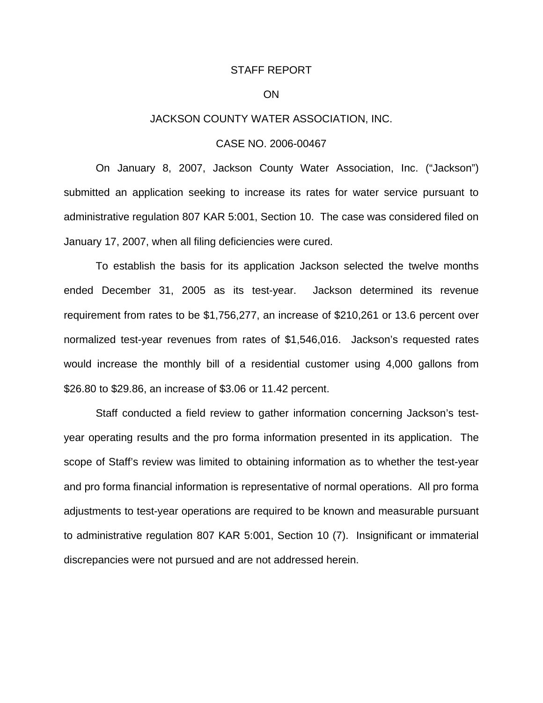#### STAFF REPORT

#### ON

### JACKSON COUNTY WATER ASSOCIATION, INC.

#### CASE NO. 2006-00467

On January 8, 2007, Jackson County Water Association, Inc. ("Jackson") submitted an application seeking to increase its rates for water service pursuant to administrative regulation 807 KAR 5:001, Section 10. The case was considered filed on January 17, 2007, when all filing deficiencies were cured.

To establish the basis for its application Jackson selected the twelve months ended December 31, 2005 as its test-year. Jackson determined its revenue requirement from rates to be \$1,756,277, an increase of \$210,261 or 13.6 percent over normalized test-year revenues from rates of \$1,546,016. Jackson's requested rates would increase the monthly bill of a residential customer using 4,000 gallons from \$26.80 to \$29.86, an increase of \$3.06 or 11.42 percent.

Staff conducted a field review to gather information concerning Jackson's testyear operating results and the pro forma information presented in its application. The scope of Staff's review was limited to obtaining information as to whether the test-year and pro forma financial information is representative of normal operations. All pro forma adjustments to test-year operations are required to be known and measurable pursuant to administrative regulation 807 KAR 5:001, Section 10 (7). Insignificant or immaterial discrepancies were not pursued and are not addressed herein.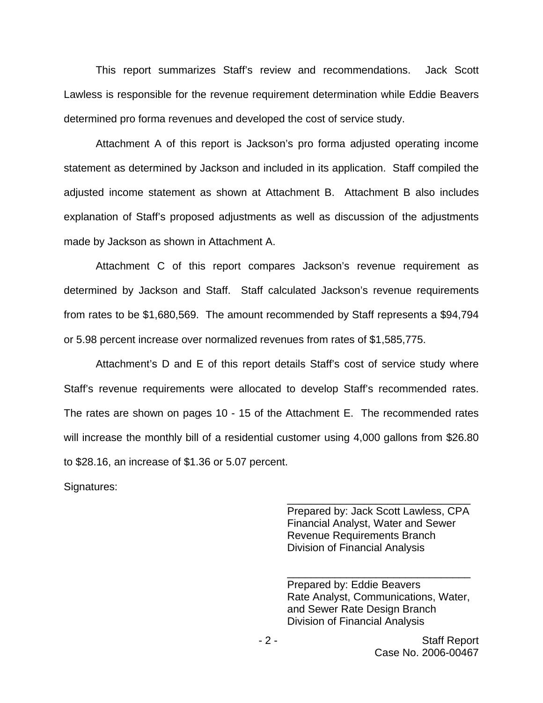This report summarizes Staff's review and recommendations. Jack Scott Lawless is responsible for the revenue requirement determination while Eddie Beavers determined pro forma revenues and developed the cost of service study.

Attachment A of this report is Jackson's pro forma adjusted operating income statement as determined by Jackson and included in its application. Staff compiled the adjusted income statement as shown at Attachment B. Attachment B also includes explanation of Staff's proposed adjustments as well as discussion of the adjustments made by Jackson as shown in Attachment A.

Attachment C of this report compares Jackson's revenue requirement as determined by Jackson and Staff. Staff calculated Jackson's revenue requirements from rates to be \$1,680,569. The amount recommended by Staff represents a \$94,794 or 5.98 percent increase over normalized revenues from rates of \$1,585,775.

Attachment's D and E of this report details Staff's cost of service study where Staff's revenue requirements were allocated to develop Staff's recommended rates. The rates are shown on pages 10 - 15 of the Attachment E. The recommended rates will increase the monthly bill of a residential customer using 4,000 gallons from \$26.80 to \$28.16, an increase of \$1.36 or 5.07 percent.

Signatures:

Prepared by: Jack Scott Lawless, CPA Financial Analyst, Water and Sewer Revenue Requirements Branch Division of Financial Analysis

\_\_\_\_\_\_\_\_\_\_\_\_\_\_\_\_\_\_\_\_\_\_\_\_\_\_\_\_\_\_\_

Prepared by: Eddie Beavers Rate Analyst, Communications, Water, and Sewer Rate Design Branch Division of Financial Analysis

\_\_\_\_\_\_\_\_\_\_\_\_\_\_\_\_\_\_\_\_\_\_\_\_\_\_\_\_\_\_\_

- 2 - Staff Report Case No. 2006-00467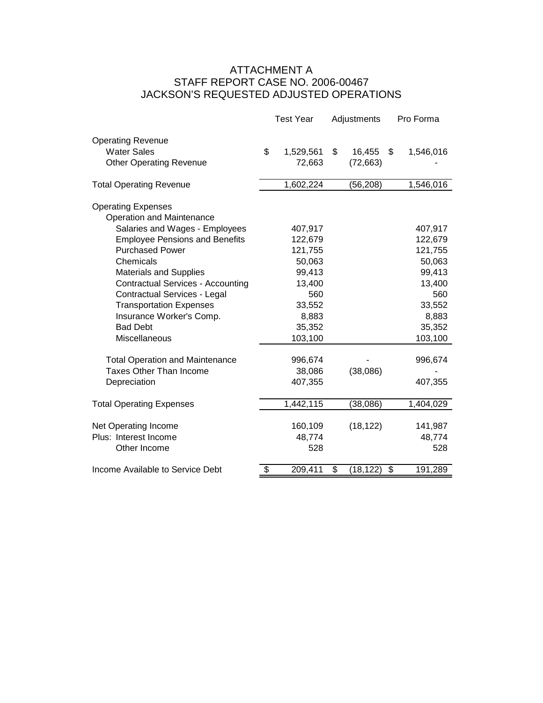## ATTACHMENT A STAFF REPORT CASE NO. 2006-00467 JACKSON'S REQUESTED ADJUSTED OPERATIONS

|                                                                                  | <b>Test Year</b>          | Adjustments               |         | Pro Forma |  |
|----------------------------------------------------------------------------------|---------------------------|---------------------------|---------|-----------|--|
| <b>Operating Revenue</b><br><b>Water Sales</b><br><b>Other Operating Revenue</b> | \$<br>1,529,561<br>72,663 | \$<br>16,455<br>(72, 663) | \$      | 1,546,016 |  |
| <b>Total Operating Revenue</b>                                                   | 1,602,224                 | (56, 208)                 |         | 1,546,016 |  |
| <b>Operating Expenses</b><br>Operation and Maintenance                           |                           |                           |         |           |  |
| Salaries and Wages - Employees                                                   | 407,917                   |                           |         | 407,917   |  |
| <b>Employee Pensions and Benefits</b>                                            | 122,679                   |                           |         | 122,679   |  |
| <b>Purchased Power</b>                                                           | 121,755                   |                           |         | 121,755   |  |
| Chemicals                                                                        | 50,063                    |                           |         | 50,063    |  |
| <b>Materials and Supplies</b>                                                    | 99,413                    |                           |         | 99,413    |  |
| <b>Contractual Services - Accounting</b>                                         | 13,400                    |                           |         | 13,400    |  |
| Contractual Services - Legal                                                     | 560                       |                           |         | 560       |  |
| <b>Transportation Expenses</b>                                                   | 33,552                    |                           |         | 33,552    |  |
| Insurance Worker's Comp.                                                         | 8,883                     |                           |         | 8,883     |  |
| <b>Bad Debt</b>                                                                  | 35,352                    |                           |         | 35,352    |  |
| Miscellaneous                                                                    | 103,100                   |                           | 103,100 |           |  |
| <b>Total Operation and Maintenance</b>                                           | 996,674                   |                           |         | 996,674   |  |
| <b>Taxes Other Than Income</b>                                                   | 38,086                    | (38,086)                  |         |           |  |
| Depreciation                                                                     | 407,355                   |                           |         | 407,355   |  |
| <b>Total Operating Expenses</b>                                                  | 1,442,115                 | (38,086)                  |         | 1,404,029 |  |
| Net Operating Income                                                             | 160,109                   | (18, 122)                 |         | 141,987   |  |
| Plus: Interest Income                                                            | 48,774                    |                           |         | 48,774    |  |
| Other Income                                                                     | 528                       |                           |         | 528       |  |
| Income Available to Service Debt                                                 | \$<br>209,411             | \$<br>(18,122)            | \$      | 191,289   |  |
|                                                                                  |                           |                           |         |           |  |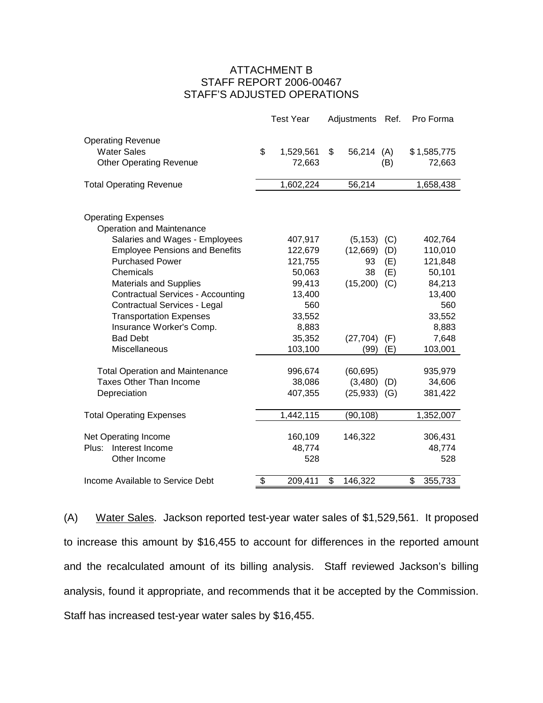### ATTACHMENT B STAFF REPORT 2006-00467 STAFF'S ADJUSTED OPERATIONS

|                                             | <b>Test Year</b> | Adjustments Ref. |     | Pro Forma      |
|---------------------------------------------|------------------|------------------|-----|----------------|
| <b>Operating Revenue</b>                    |                  |                  |     |                |
| <b>Water Sales</b>                          | \$<br>1,529,561  | \$<br>56,214     | (A) | \$1,585,775    |
| <b>Other Operating Revenue</b>              | 72,663           |                  | (B) | 72,663         |
|                                             |                  |                  |     |                |
| <b>Total Operating Revenue</b>              | 1,602,224        | 56,214           |     | 1,658,438      |
|                                             |                  |                  |     |                |
| <b>Operating Expenses</b>                   |                  |                  |     |                |
| Operation and Maintenance                   |                  |                  |     |                |
| Salaries and Wages - Employees              | 407,917          | (5, 153)         | (C) | 402,764        |
| <b>Employee Pensions and Benefits</b>       | 122,679          | (12,669)         | (D) | 110,010        |
| <b>Purchased Power</b>                      | 121,755          | 93               | (E) | 121,848        |
| Chemicals                                   | 50,063           | 38               | (E) | 50,101         |
| <b>Materials and Supplies</b>               | 99,413           | (15,200)         | (C) | 84,213         |
| <b>Contractual Services - Accounting</b>    | 13,400<br>560    |                  |     | 13,400<br>560  |
| Contractual Services - Legal                | 33,552           |                  |     |                |
| <b>Transportation Expenses</b>              |                  |                  |     | 33,552         |
| Insurance Worker's Comp.<br><b>Bad Debt</b> | 8,883<br>35,352  |                  |     | 8,883<br>7,648 |
| Miscellaneous                               |                  | (27, 704)        | (F) |                |
|                                             | 103,100          | (99)             | (E) | 103,001        |
| <b>Total Operation and Maintenance</b>      | 996,674          | (60, 695)        |     | 935,979        |
| <b>Taxes Other Than Income</b>              | 38,086           | (3,480)          | (D) | 34,606         |
| Depreciation                                | 407,355          | $(25,933)$ (G)   |     | 381,422        |
| <b>Total Operating Expenses</b>             | 1,442,115        | (90, 108)        |     | 1,352,007      |
|                                             |                  |                  |     |                |
| Net Operating Income                        | 160,109          | 146,322          |     | 306,431        |
| Interest Income<br>Plus:                    | 48,774           |                  |     | 48,774         |
| Other Income                                | 528              |                  |     | 528            |
|                                             |                  |                  |     |                |
| Income Available to Service Debt            | \$<br>209,411    | \$<br>146,322    |     | \$<br>355,733  |

(A) Water Sales. Jackson reported test-year water sales of \$1,529,561. It proposed to increase this amount by \$16,455 to account for differences in the reported amount and the recalculated amount of its billing analysis. Staff reviewed Jackson's billing analysis, found it appropriate, and recommends that it be accepted by the Commission. Staff has increased test-year water sales by \$16,455.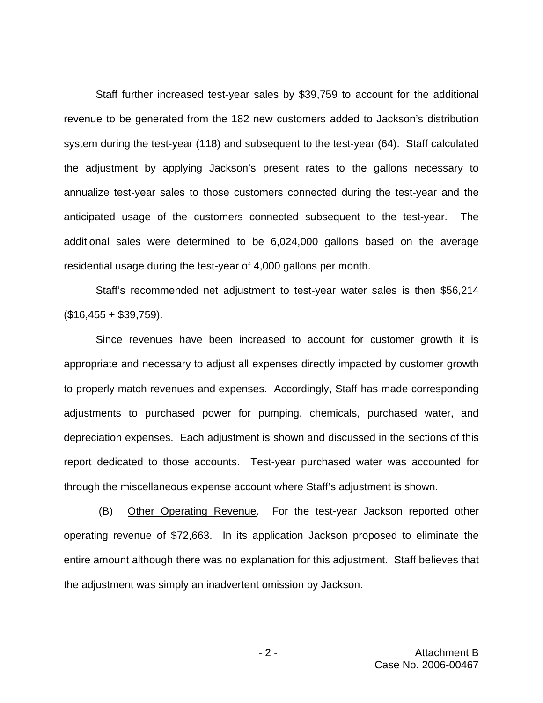Staff further increased test-year sales by \$39,759 to account for the additional revenue to be generated from the 182 new customers added to Jackson's distribution system during the test-year (118) and subsequent to the test-year (64). Staff calculated the adjustment by applying Jackson's present rates to the gallons necessary to annualize test-year sales to those customers connected during the test-year and the anticipated usage of the customers connected subsequent to the test-year. The additional sales were determined to be 6,024,000 gallons based on the average residential usage during the test-year of 4,000 gallons per month.

Staff's recommended net adjustment to test-year water sales is then \$56,214  $($16,455 + $39,759).$ 

Since revenues have been increased to account for customer growth it is appropriate and necessary to adjust all expenses directly impacted by customer growth to properly match revenues and expenses. Accordingly, Staff has made corresponding adjustments to purchased power for pumping, chemicals, purchased water, and depreciation expenses. Each adjustment is shown and discussed in the sections of this report dedicated to those accounts. Test-year purchased water was accounted for through the miscellaneous expense account where Staff's adjustment is shown.

(B) Other Operating Revenue. For the test-year Jackson reported other operating revenue of \$72,663. In its application Jackson proposed to eliminate the entire amount although there was no explanation for this adjustment. Staff believes that the adjustment was simply an inadvertent omission by Jackson.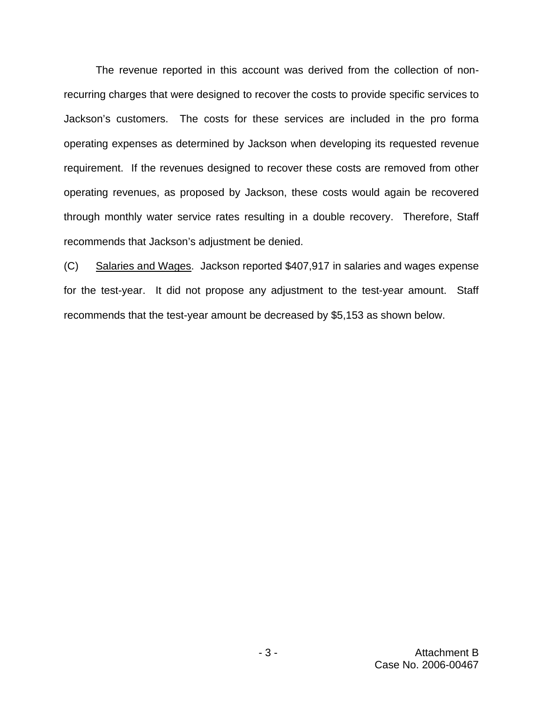The revenue reported in this account was derived from the collection of nonrecurring charges that were designed to recover the costs to provide specific services to Jackson's customers. The costs for these services are included in the pro forma operating expenses as determined by Jackson when developing its requested revenue requirement. If the revenues designed to recover these costs are removed from other operating revenues, as proposed by Jackson, these costs would again be recovered through monthly water service rates resulting in a double recovery. Therefore, Staff recommends that Jackson's adjustment be denied.

(C) Salaries and Wages. Jackson reported \$407,917 in salaries and wages expense for the test-year. It did not propose any adjustment to the test-year amount. Staff recommends that the test-year amount be decreased by \$5,153 as shown below.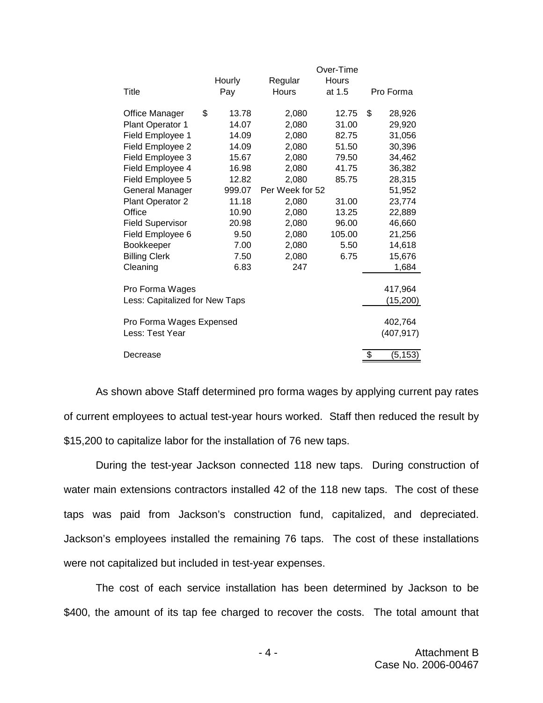|                                |             |                 | Over-Time |                |
|--------------------------------|-------------|-----------------|-----------|----------------|
|                                | Hourly      | Regular         | Hours     |                |
| Title                          | Pay         | <b>Hours</b>    | at 1.5    | Pro Forma      |
| <b>Office Manager</b>          | \$<br>13.78 | 2,080           | 12.75     | \$<br>28,926   |
| Plant Operator 1               | 14.07       | 2,080           | 31.00     | 29,920         |
| Field Employee 1               | 14.09       | 2,080           | 82.75     | 31,056         |
| Field Employee 2               | 14.09       | 2,080           | 51.50     | 30,396         |
| Field Employee 3               | 15.67       | 2,080           | 79.50     | 34,462         |
| Field Employee 4               | 16.98       | 2,080           | 41.75     | 36,382         |
| Field Employee 5               | 12.82       | 2,080           | 85.75     | 28,315         |
| General Manager                | 999.07      | Per Week for 52 |           | 51,952         |
| Plant Operator 2               | 11.18       | 2,080           | 31.00     | 23,774         |
| Office                         | 10.90       | 2,080           | 13.25     | 22,889         |
| <b>Field Supervisor</b>        | 20.98       | 2,080           | 96.00     | 46,660         |
| Field Employee 6               | 9.50        | 2,080           | 105.00    | 21,256         |
| Bookkeeper                     | 7.00        | 2,080           | 5.50      | 14,618         |
| <b>Billing Clerk</b>           | 7.50        | 2,080           | 6.75      | 15,676         |
| Cleaning                       | 6.83        | 247             |           | 1,684          |
| Pro Forma Wages                |             |                 |           | 417,964        |
| Less: Capitalized for New Taps |             |                 |           | (15, 200)      |
|                                |             |                 |           |                |
| Pro Forma Wages Expensed       |             |                 |           | 402,764        |
| Less: Test Year                |             |                 |           | (407, 917)     |
| Decrease                       |             |                 |           | \$<br>(5, 153) |

As shown above Staff determined pro forma wages by applying current pay rates of current employees to actual test-year hours worked. Staff then reduced the result by \$15,200 to capitalize labor for the installation of 76 new taps.

During the test-year Jackson connected 118 new taps. During construction of water main extensions contractors installed 42 of the 118 new taps. The cost of these taps was paid from Jackson's construction fund, capitalized, and depreciated. Jackson's employees installed the remaining 76 taps. The cost of these installations were not capitalized but included in test-year expenses.

The cost of each service installation has been determined by Jackson to be \$400, the amount of its tap fee charged to recover the costs. The total amount that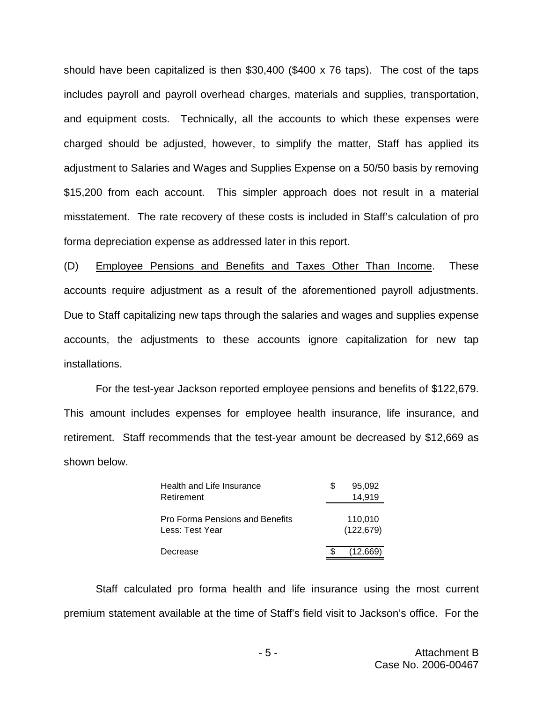should have been capitalized is then \$30,400 (\$400 x 76 taps). The cost of the taps includes payroll and payroll overhead charges, materials and supplies, transportation, and equipment costs. Technically, all the accounts to which these expenses were charged should be adjusted, however, to simplify the matter, Staff has applied its adjustment to Salaries and Wages and Supplies Expense on a 50/50 basis by removing \$15,200 from each account. This simpler approach does not result in a material misstatement. The rate recovery of these costs is included in Staff's calculation of pro forma depreciation expense as addressed later in this report.

(D) Employee Pensions and Benefits and Taxes Other Than Income. These accounts require adjustment as a result of the aforementioned payroll adjustments. Due to Staff capitalizing new taps through the salaries and wages and supplies expense accounts, the adjustments to these accounts ignore capitalization for new tap installations.

For the test-year Jackson reported employee pensions and benefits of \$122,679. This amount includes expenses for employee health insurance, life insurance, and retirement. Staff recommends that the test-year amount be decreased by \$12,669 as shown below.

| Health and Life Insurance       | 95,092     |
|---------------------------------|------------|
| Retirement                      | 14,919     |
|                                 |            |
| Pro Forma Pensions and Benefits | 110.010    |
| Less: Test Year                 | (122, 679) |
|                                 |            |
| Decrease                        | (12,669)   |

Staff calculated pro forma health and life insurance using the most current premium statement available at the time of Staff's field visit to Jackson's office. For the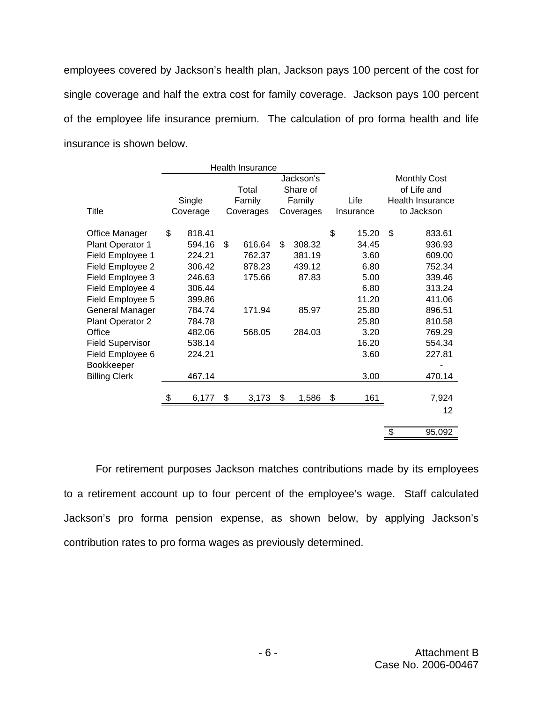employees covered by Jackson's health plan, Jackson pays 100 percent of the cost for single coverage and half the extra cost for family coverage. Jackson pays 100 percent of the employee life insurance premium. The calculation of pro forma health and life insurance is shown below.

|                         |              | Health Insurance |              |             |    |                         |
|-------------------------|--------------|------------------|--------------|-------------|----|-------------------------|
|                         |              |                  | Jackson's    |             |    | <b>Monthly Cost</b>     |
|                         |              | Total            | Share of     |             |    | of Life and             |
|                         | Single       | Family           | Family       | Life        |    | <b>Health Insurance</b> |
| Title                   | Coverage     | Coverages        | Coverages    | Insurance   |    | to Jackson              |
| Office Manager          | \$<br>818.41 |                  |              | \$<br>15.20 | \$ | 833.61                  |
| Plant Operator 1        | 594.16       | \$<br>616.64     | \$<br>308.32 | 34.45       |    | 936.93                  |
| Field Employee 1        | 224.21       | 762.37           | 381.19       | 3.60        |    | 609.00                  |
| Field Employee 2        | 306.42       | 878.23           | 439.12       | 6.80        |    | 752.34                  |
| Field Employee 3        | 246.63       | 175.66           | 87.83        | 5.00        |    | 339.46                  |
| Field Employee 4        | 306.44       |                  |              | 6.80        |    | 313.24                  |
| Field Employee 5        | 399.86       |                  |              | 11.20       |    | 411.06                  |
| General Manager         | 784.74       | 171.94           | 85.97        | 25.80       |    | 896.51                  |
| Plant Operator 2        | 784.78       |                  |              | 25.80       |    | 810.58                  |
| Office                  | 482.06       | 568.05           | 284.03       | 3.20        |    | 769.29                  |
| <b>Field Supervisor</b> | 538.14       |                  |              | 16.20       |    | 554.34                  |
| Field Employee 6        | 224.21       |                  |              | 3.60        |    | 227.81                  |
| Bookkeeper              |              |                  |              |             |    |                         |
| <b>Billing Clerk</b>    | 467.14       |                  |              | 3.00        |    | 470.14                  |
|                         | \$<br>6,177  | \$<br>3,173      | \$<br>1,586  | \$<br>161   |    | 7,924                   |
|                         |              |                  |              |             |    | 12                      |
|                         |              |                  |              |             | \$ | 95,092                  |

For retirement purposes Jackson matches contributions made by its employees to a retirement account up to four percent of the employee's wage. Staff calculated Jackson's pro forma pension expense, as shown below, by applying Jackson's contribution rates to pro forma wages as previously determined.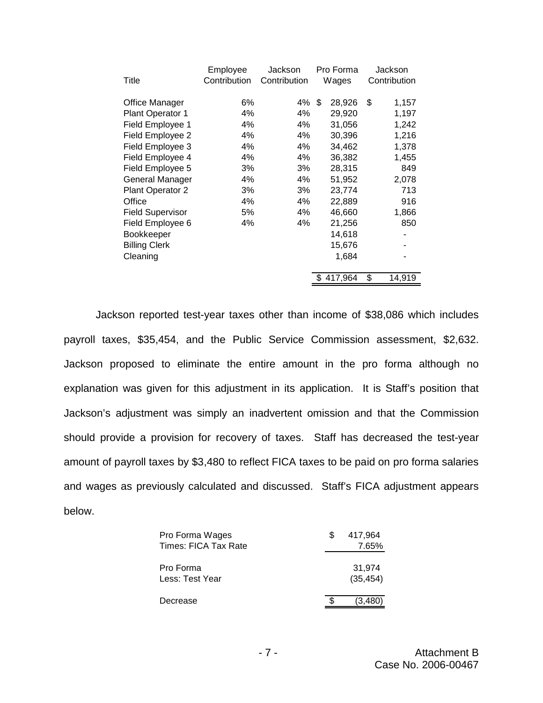| Title                   | Employee<br>Contribution | Jackson<br>Contribution | Pro Forma<br>Wages | Jackson<br>Contribution |
|-------------------------|--------------------------|-------------------------|--------------------|-------------------------|
| Office Manager          | 6%                       | 4%                      | \$<br>28,926       | \$<br>1,157             |
| Plant Operator 1        | 4%                       | 4%                      | 29,920             | 1,197                   |
| Field Employee 1        | 4%                       | 4%                      | 31,056             | 1,242                   |
| Field Employee 2        | 4%                       | 4%                      | 30,396             | 1,216                   |
| Field Employee 3        | 4%                       | 4%                      | 34,462             | 1,378                   |
| Field Employee 4        | 4%                       | 4%                      | 36,382             | 1,455                   |
| Field Employee 5        | 3%                       | 3%                      | 28,315             | 849                     |
| General Manager         | 4%                       | 4%                      | 51,952             | 2,078                   |
| Plant Operator 2        | 3%                       | 3%                      | 23,774             | 713                     |
| Office                  | 4%                       | 4%                      | 22,889             | 916                     |
| <b>Field Supervisor</b> | 5%                       | 4%                      | 46,660             | 1,866                   |
| Field Employee 6        | 4%                       | 4%                      | 21,256             | 850                     |
| Bookkeeper              |                          |                         | 14,618             |                         |
| <b>Billing Clerk</b>    |                          |                         | 15,676             |                         |
| Cleaning                |                          |                         | 1,684              |                         |
|                         |                          |                         | 417,964            | \$<br>14,919            |

Jackson reported test-year taxes other than income of \$38,086 which includes payroll taxes, \$35,454, and the Public Service Commission assessment, \$2,632. Jackson proposed to eliminate the entire amount in the pro forma although no explanation was given for this adjustment in its application. It is Staff's position that Jackson's adjustment was simply an inadvertent omission and that the Commission should provide a provision for recovery of taxes. Staff has decreased the test-year amount of payroll taxes by \$3,480 to reflect FICA taxes to be paid on pro forma salaries and wages as previously calculated and discussed. Staff's FICA adjustment appears below.

| Pro Forma Wages<br>Times: FICA Tax Rate | 417,964<br>7.65%    |
|-----------------------------------------|---------------------|
| Pro Forma<br>Less: Test Year            | 31,974<br>(35, 454) |
| Decrease                                | (3.480)             |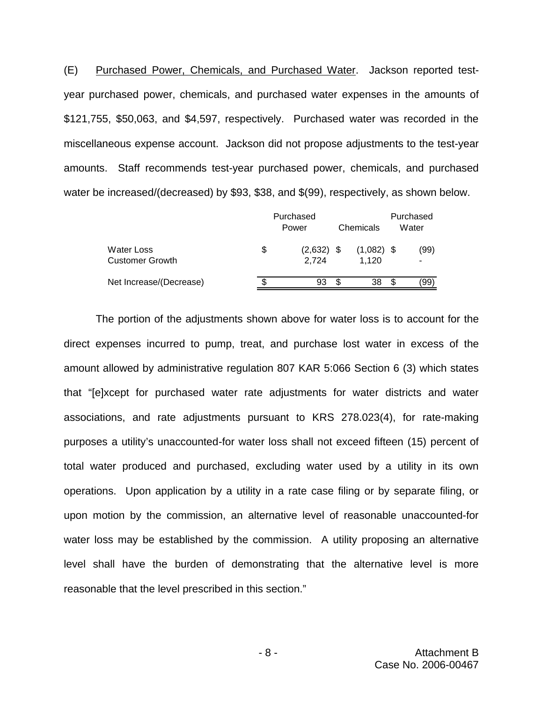(E) Purchased Power, Chemicals, and Purchased Water. Jackson reported testyear purchased power, chemicals, and purchased water expenses in the amounts of \$121,755, \$50,063, and \$4,597, respectively. Purchased water was recorded in the miscellaneous expense account. Jackson did not propose adjustments to the test-year amounts. Staff recommends test-year purchased power, chemicals, and purchased water be increased/(decreased) by \$93, \$38, and \$(99), respectively, as shown below.

|                                             | Purchased<br>Chemicals<br>Power |                       |  |                       |  | Purchased<br>Water |  |
|---------------------------------------------|---------------------------------|-----------------------|--|-----------------------|--|--------------------|--|
| <b>Water Loss</b><br><b>Customer Growth</b> | \$                              | $(2,632)$ \$<br>2.724 |  | $(1,082)$ \$<br>1.120 |  | (99)               |  |
| Net Increase/(Decrease)                     |                                 | 93                    |  | 38                    |  | '99                |  |

The portion of the adjustments shown above for water loss is to account for the direct expenses incurred to pump, treat, and purchase lost water in excess of the amount allowed by administrative regulation 807 KAR 5:066 Section 6 (3) which states that "[e]xcept for purchased water rate adjustments for water districts and water associations, and rate adjustments pursuant to KRS 278.023(4), for rate-making purposes a utility's unaccounted-for water loss shall not exceed fifteen (15) percent of total water produced and purchased, excluding water used by a utility in its own operations. Upon application by a utility in a rate case filing or by separate filing, or upon motion by the commission, an alternative level of reasonable unaccounted-for water loss may be established by the commission. A utility proposing an alternative level shall have the burden of demonstrating that the alternative level is more reasonable that the level prescribed in this section."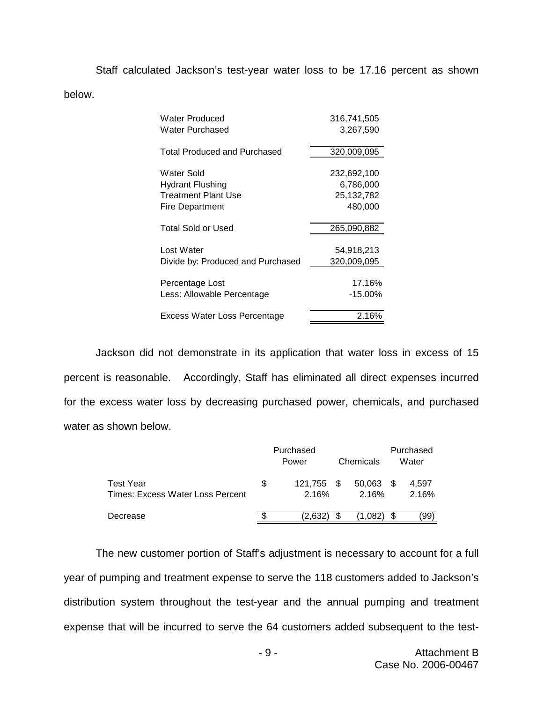Staff calculated Jackson's test-year water loss to be 17.16 percent as shown below.

| Water Produced                      | 316,741,505  |
|-------------------------------------|--------------|
| <b>Water Purchased</b>              | 3,267,590    |
|                                     |              |
| <b>Total Produced and Purchased</b> | 320,009,095  |
|                                     |              |
| Water Sold                          | 232,692,100  |
| <b>Hydrant Flushing</b>             | 6,786,000    |
| <b>Treatment Plant Use</b>          | 25, 132, 782 |
| Fire Department                     | 480,000      |
|                                     |              |
| <b>Total Sold or Used</b>           | 265,090,882  |
|                                     |              |
| Lost Water                          | 54,918,213   |
| Divide by: Produced and Purchased   | 320,009,095  |
|                                     |              |
| Percentage Lost                     | 17.16%       |
| Less: Allowable Percentage          | $-15.00\%$   |
|                                     |              |
| Excess Water Loss Percentage        | 2.16%        |
|                                     |              |

Jackson did not demonstrate in its application that water loss in excess of 15 percent is reasonable. Accordingly, Staff has eliminated all direct expenses incurred for the excess water loss by decreasing purchased power, chemicals, and purchased water as shown below.

|                                                      |     | Purchased<br>Power  |  | Chemicals       | Purchased<br>Water |                |
|------------------------------------------------------|-----|---------------------|--|-----------------|--------------------|----------------|
| <b>Test Year</b><br>Times: Excess Water Loss Percent | \$. | 121.755 \$<br>2.16% |  | 50,063<br>2.16% |                    | 4.597<br>2.16% |
| Decrease                                             |     | (2.632)             |  | (1.082)         |                    | .99)           |

The new customer portion of Staff's adjustment is necessary to account for a full year of pumping and treatment expense to serve the 118 customers added to Jackson's distribution system throughout the test-year and the annual pumping and treatment expense that will be incurred to serve the 64 customers added subsequent to the test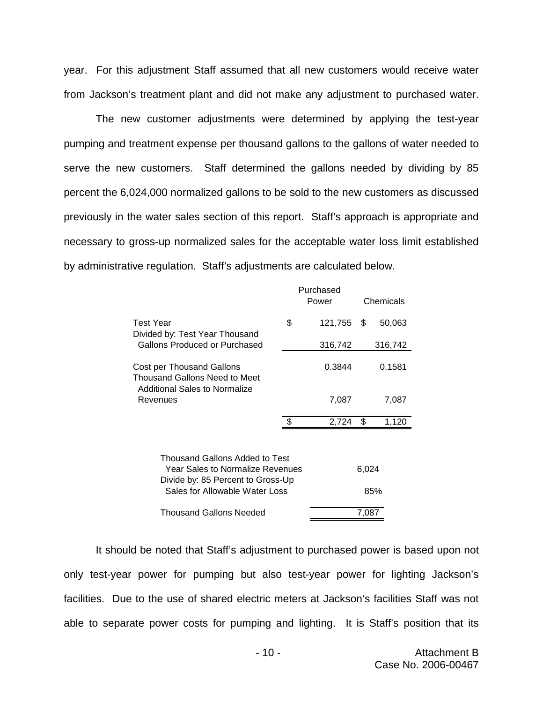year. For this adjustment Staff assumed that all new customers would receive water from Jackson's treatment plant and did not make any adjustment to purchased water.

The new customer adjustments were determined by applying the test-year pumping and treatment expense per thousand gallons to the gallons of water needed to serve the new customers. Staff determined the gallons needed by dividing by 85 percent the 6,024,000 normalized gallons to be sold to the new customers as discussed previously in the water sales section of this report. Staff's approach is appropriate and necessary to gross-up normalized sales for the acceptable water loss limit established by administrative regulation. Staff's adjustments are calculated below.

|                                                            |                                                                                                                | Purchased<br>Power |       | Chemicals |
|------------------------------------------------------------|----------------------------------------------------------------------------------------------------------------|--------------------|-------|-----------|
| <b>Test Year</b><br>Divided by: Test Year Thousand         | \$                                                                                                             | 121,755            | \$    | 50,063    |
| Gallons Produced or Purchased                              |                                                                                                                | 316,742            |       | 316,742   |
| Cost per Thousand Gallons<br>Thousand Gallons Need to Meet |                                                                                                                | 0.3844             |       | 0.1581    |
| Additional Sales to Normalize<br>Revenues                  |                                                                                                                | 7,087              |       | 7,087     |
|                                                            | - \$                                                                                                           | 2,724              | \$    | 1,120     |
| Thousand Gallons Added to Test                             | <b>Year Sales to Normalize Revenues</b><br>Divide by: 85 Percent to Gross-Up<br>Sales for Allowable Water Loss |                    | 6,024 | 85%       |
| Thousand Gallons Needed                                    |                                                                                                                |                    | 7.087 |           |

It should be noted that Staff's adjustment to purchased power is based upon not only test-year power for pumping but also test-year power for lighting Jackson's facilities. Due to the use of shared electric meters at Jackson's facilities Staff was not able to separate power costs for pumping and lighting. It is Staff's position that its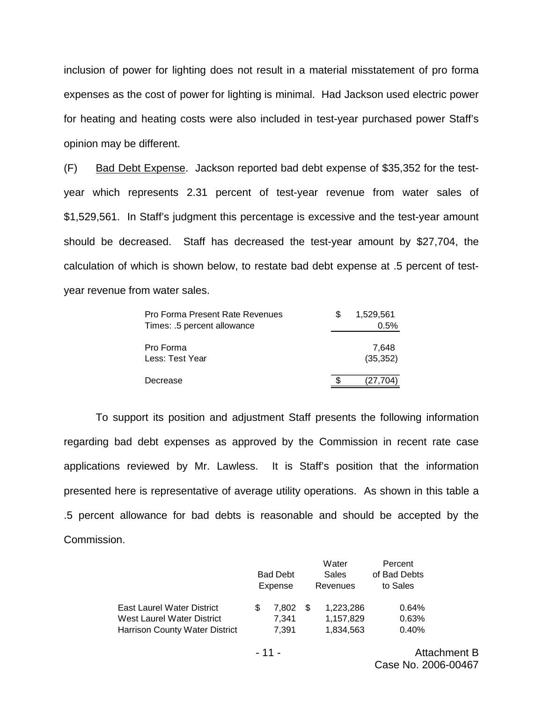inclusion of power for lighting does not result in a material misstatement of pro forma expenses as the cost of power for lighting is minimal. Had Jackson used electric power for heating and heating costs were also included in test-year purchased power Staff's opinion may be different.

(F) Bad Debt Expense. Jackson reported bad debt expense of \$35,352 for the testyear which represents 2.31 percent of test-year revenue from water sales of \$1,529,561. In Staff's judgment this percentage is excessive and the test-year amount should be decreased. Staff has decreased the test-year amount by \$27,704, the calculation of which is shown below, to restate bad debt expense at .5 percent of testyear revenue from water sales.

| Pro Forma Present Rate Revenues | 1,529,561 |
|---------------------------------|-----------|
| Times: .5 percent allowance     | 0.5%      |
|                                 |           |
| Pro Forma                       | 7.648     |
| Less: Test Year                 | (35, 352) |
|                                 |           |
| Decrease                        | (27,704)  |

To support its position and adjustment Staff presents the following information regarding bad debt expenses as approved by the Commission in recent rate case applications reviewed by Mr. Lawless. It is Staff's position that the information presented here is representative of average utility operations. As shown in this table a .5 percent allowance for bad debts is reasonable and should be accepted by the Commission.

|                                       |                            |       |      | Water     | Percent      |
|---------------------------------------|----------------------------|-------|------|-----------|--------------|
|                                       | <b>Bad Debt</b><br>Expense |       |      | Sales     | of Bad Debts |
|                                       |                            |       |      | Revenues  | to Sales     |
| <b>East Laurel Water District</b>     |                            | 7.802 | - SS | 1,223,286 | 0.64%        |
| West Laurel Water District            |                            | 7.341 |      | 1,157,829 | 0.63%        |
| <b>Harrison County Water District</b> |                            | 7,391 |      | 1,834,563 | 0.40%        |

- 11 - Attachment B Case No. 2006-00467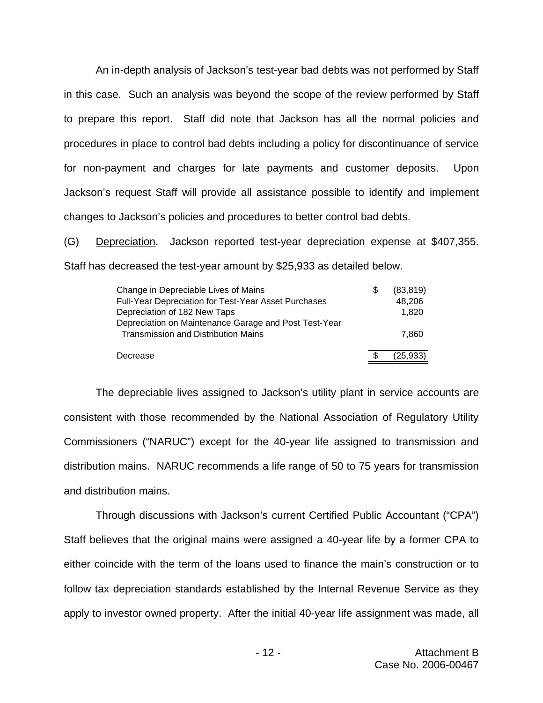An in-depth analysis of Jackson's test-year bad debts was not performed by Staff in this case. Such an analysis was beyond the scope of the review performed by Staff to prepare this report. Staff did note that Jackson has all the normal policies and procedures in place to control bad debts including a policy for discontinuance of service for non-payment and charges for late payments and customer deposits. Upon Jackson's request Staff will provide all assistance possible to identify and implement changes to Jackson's policies and procedures to better control bad debts.

(G) Depreciation. Jackson reported test-year depreciation expense at \$407,355. Staff has decreased the test-year amount by \$25,933 as detailed below.

| Change in Depreciable Lives of Mains                        | S | (83, 819) |
|-------------------------------------------------------------|---|-----------|
| <b>Full-Year Depreciation for Test-Year Asset Purchases</b> |   | 48.206    |
| Depreciation of 182 New Taps                                |   | 1.820     |
| Depreciation on Maintenance Garage and Post Test-Year       |   |           |
| <b>Transmission and Distribution Mains</b>                  |   | 7.860     |
| Decrease                                                    |   | (25, 933) |

The depreciable lives assigned to Jackson's utility plant in service accounts are consistent with those recommended by the National Association of Regulatory Utility Commissioners ("NARUC") except for the 40-year life assigned to transmission and distribution mains. NARUC recommends a life range of 50 to 75 years for transmission and distribution mains.

Through discussions with Jackson's current Certified Public Accountant ("CPA") Staff believes that the original mains were assigned a 40-year life by a former CPA to either coincide with the term of the loans used to finance the main's construction or to follow tax depreciation standards established by the Internal Revenue Service as they apply to investor owned property. After the initial 40-year life assignment was made, all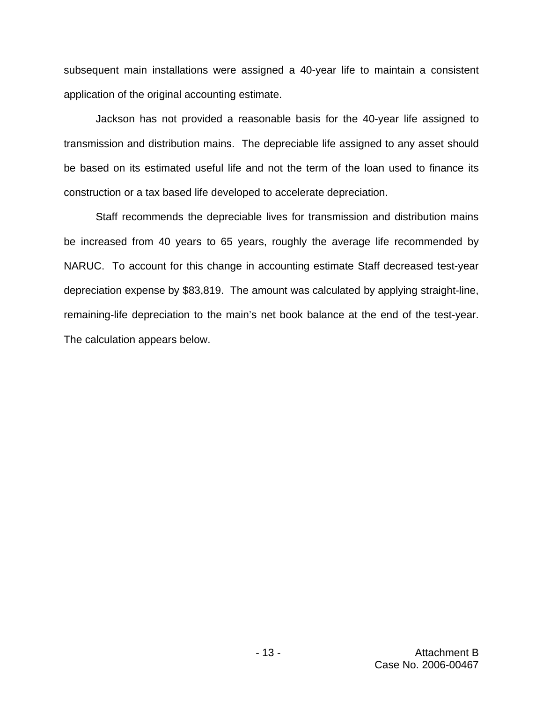subsequent main installations were assigned a 40-year life to maintain a consistent application of the original accounting estimate.

Jackson has not provided a reasonable basis for the 40-year life assigned to transmission and distribution mains. The depreciable life assigned to any asset should be based on its estimated useful life and not the term of the loan used to finance its construction or a tax based life developed to accelerate depreciation.

Staff recommends the depreciable lives for transmission and distribution mains be increased from 40 years to 65 years, roughly the average life recommended by NARUC. To account for this change in accounting estimate Staff decreased test-year depreciation expense by \$83,819. The amount was calculated by applying straight-line, remaining-life depreciation to the main's net book balance at the end of the test-year. The calculation appears below.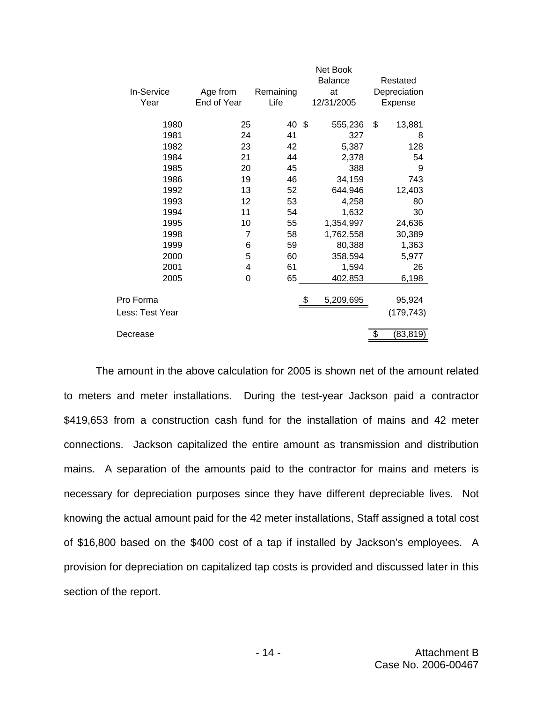|                 |             |           | Net Book      |                 |
|-----------------|-------------|-----------|---------------|-----------------|
|                 |             |           | Balance       | Restated        |
| In-Service      | Age from    | Remaining | at            | Depreciation    |
| Year            | End of Year | Life      | 12/31/2005    | Expense         |
| 1980            | 25          | 40        | \$<br>555,236 | \$<br>13,881    |
| 1981            | 24          | 41        | 327           | 8               |
| 1982            | 23          | 42        | 5,387         | 128             |
| 1984            | 21          | 44        |               | 54              |
|                 |             | 45        | 2,378         |                 |
| 1985            | 20          |           | 388           | 9               |
| 1986            | 19          | 46        | 34,159        | 743             |
| 1992            | 13          | 52        | 644,946       | 12,403          |
| 1993            | 12          | 53        | 4,258         | 80              |
| 1994            | 11          | 54        | 1,632         | 30              |
| 1995            | 10          | 55        | 1,354,997     | 24,636          |
| 1998            | 7           | 58        | 1,762,558     | 30,389          |
| 1999            | 6           | 59        | 80,388        | 1,363           |
| 2000            | 5           | 60        | 358,594       | 5,977           |
| 2001            | 4           | 61        | 1,594         | 26              |
| 2005            | $\mathbf 0$ | 65        | 402,853       | 6,198           |
|                 |             |           |               |                 |
| Pro Forma       |             |           | 5,209,695     | 95,924          |
| Less: Test Year |             |           |               | (179, 743)      |
| Decrease        |             |           |               | \$<br>(83, 819) |
|                 |             |           |               |                 |

The amount in the above calculation for 2005 is shown net of the amount related to meters and meter installations. During the test-year Jackson paid a contractor \$419,653 from a construction cash fund for the installation of mains and 42 meter connections. Jackson capitalized the entire amount as transmission and distribution mains. A separation of the amounts paid to the contractor for mains and meters is necessary for depreciation purposes since they have different depreciable lives. Not knowing the actual amount paid for the 42 meter installations, Staff assigned a total cost of \$16,800 based on the \$400 cost of a tap if installed by Jackson's employees. A provision for depreciation on capitalized tap costs is provided and discussed later in this section of the report.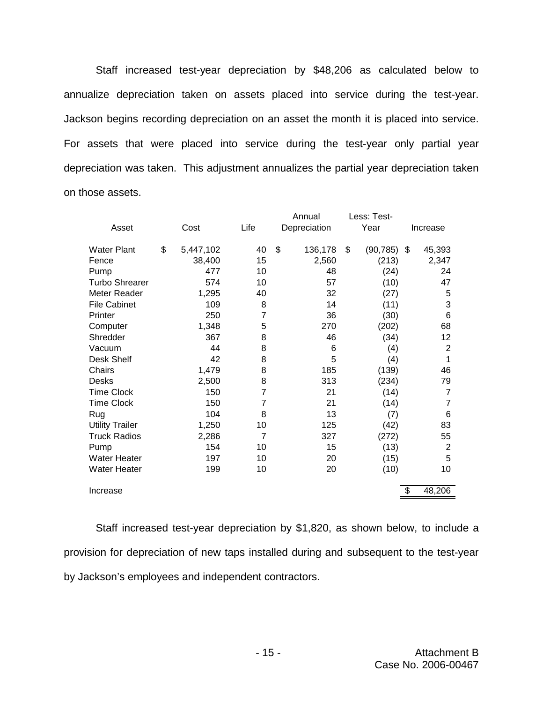Staff increased test-year depreciation by \$48,206 as calculated below to annualize depreciation taken on assets placed into service during the test-year. Jackson begins recording depreciation on an asset the month it is placed into service. For assets that were placed into service during the test-year only partial year depreciation was taken. This adjustment annualizes the partial year depreciation taken on those assets.

|                        |                 |      |                | Annual        | Less: Test-     |                |
|------------------------|-----------------|------|----------------|---------------|-----------------|----------------|
| Asset                  | Cost            | Life |                | Depreciation  | Year            | Increase       |
| <b>Water Plant</b>     | \$<br>5,447,102 | 40   |                | \$<br>136,178 | \$<br>(90, 785) | \$<br>45,393   |
| Fence                  | 38,400          | 15   |                | 2,560         | (213)           | 2,347          |
| Pump                   | 477             | 10   |                | 48            | (24)            | 24             |
| <b>Turbo Shrearer</b>  | 574             | 10   |                | 57            | (10)            | 47             |
| Meter Reader           | 1,295           | 40   |                | 32            | (27)            | 5              |
| <b>File Cabinet</b>    | 109             |      | 8              | 14            | (11)            | 3              |
| Printer                | 250             |      | $\overline{7}$ | 36            | (30)            | $6\phantom{1}$ |
| Computer               | 1,348           |      | 5              | 270           | (202)           | 68             |
| Shredder               | 367             |      | 8              | 46            | (34)            | 12             |
| Vacuum                 | 44              |      | 8              | 6             | (4)             | $\overline{2}$ |
| Desk Shelf             | 42              |      | 8              | 5             | (4)             | 1              |
| Chairs                 | 1,479           |      | 8              | 185           | (139)           | 46             |
| <b>Desks</b>           | 2,500           |      | 8              | 313           | (234)           | 79             |
| <b>Time Clock</b>      | 150             |      | $\overline{7}$ | 21            | (14)            | $\overline{7}$ |
| <b>Time Clock</b>      | 150             |      | 7              | 21            | (14)            | $\overline{7}$ |
| Rug                    | 104             |      | 8              | 13            | (7)             | 6              |
| <b>Utility Trailer</b> | 1,250           | 10   |                | 125           | (42)            | 83             |
| <b>Truck Radios</b>    | 2,286           |      | $\overline{7}$ | 327           | (272)           | 55             |
| Pump                   | 154             | 10   |                | 15            | (13)            | $\overline{2}$ |
| <b>Water Heater</b>    | 197             | 10   |                | 20            | (15)            | 5              |
| <b>Water Heater</b>    | 199             | 10   |                | 20            | (10)            | 10             |
| Increase               |                 |      |                |               |                 | \$<br>48,206   |

Staff increased test-year depreciation by \$1,820, as shown below, to include a provision for depreciation of new taps installed during and subsequent to the test-year by Jackson's employees and independent contractors.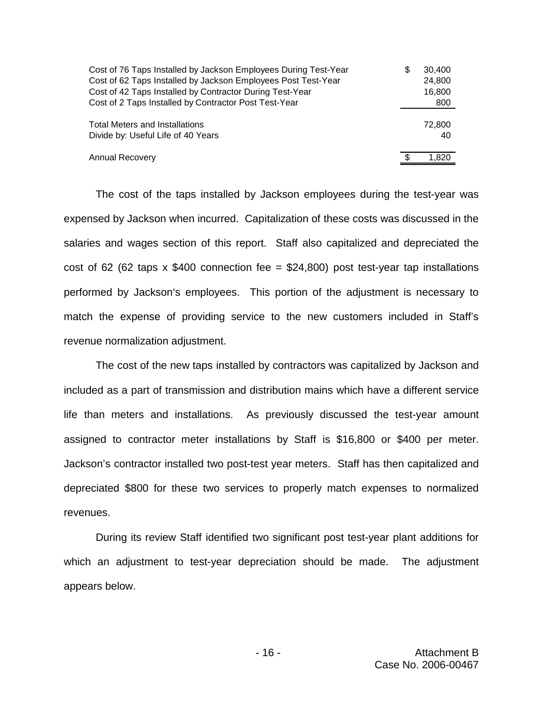| Cost of 76 Taps Installed by Jackson Employees During Test-Year | S | 30.400 |
|-----------------------------------------------------------------|---|--------|
| Cost of 62 Taps Installed by Jackson Employees Post Test-Year   |   | 24,800 |
| Cost of 42 Taps Installed by Contractor During Test-Year        |   | 16,800 |
| Cost of 2 Taps Installed by Contractor Post Test-Year           |   | 800    |
| <b>Total Meters and Installations</b>                           |   | 72,800 |
| Divide by: Useful Life of 40 Years                              |   | 40     |
| <b>Annual Recovery</b>                                          | S | 1.820  |

The cost of the taps installed by Jackson employees during the test-year was expensed by Jackson when incurred. Capitalization of these costs was discussed in the salaries and wages section of this report. Staff also capitalized and depreciated the cost of 62 (62 taps x \$400 connection fee = \$24,800) post test-year tap installations performed by Jackson's employees. This portion of the adjustment is necessary to match the expense of providing service to the new customers included in Staff's revenue normalization adjustment.

The cost of the new taps installed by contractors was capitalized by Jackson and included as a part of transmission and distribution mains which have a different service life than meters and installations. As previously discussed the test-year amount assigned to contractor meter installations by Staff is \$16,800 or \$400 per meter. Jackson's contractor installed two post-test year meters. Staff has then capitalized and depreciated \$800 for these two services to properly match expenses to normalized revenues.

During its review Staff identified two significant post test-year plant additions for which an adjustment to test-year depreciation should be made. The adjustment appears below.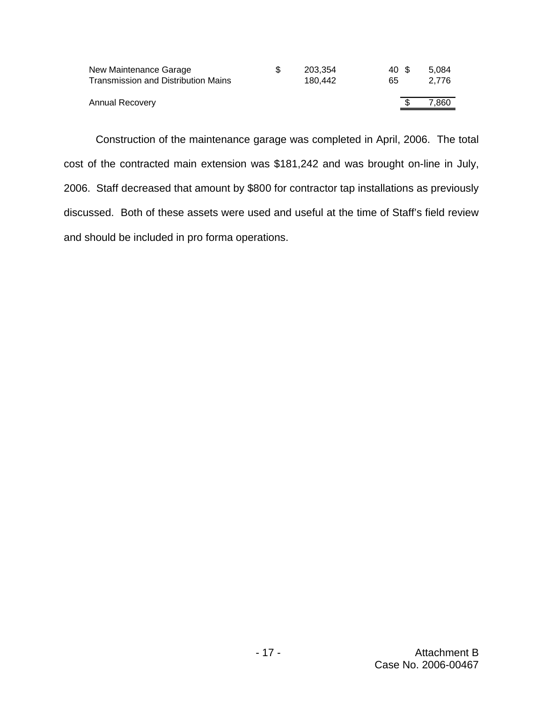| New Maintenance Garage              | S | 203.354 | 40 S | 5.084 |
|-------------------------------------|---|---------|------|-------|
| Transmission and Distribution Mains |   | 180.442 | 65   | 2.776 |
|                                     |   |         |      |       |
| Annual Recovery                     |   |         |      | 7,860 |
|                                     |   |         |      |       |

Construction of the maintenance garage was completed in April, 2006. The total cost of the contracted main extension was \$181,242 and was brought on-line in July, 2006. Staff decreased that amount by \$800 for contractor tap installations as previously discussed. Both of these assets were used and useful at the time of Staff's field review and should be included in pro forma operations.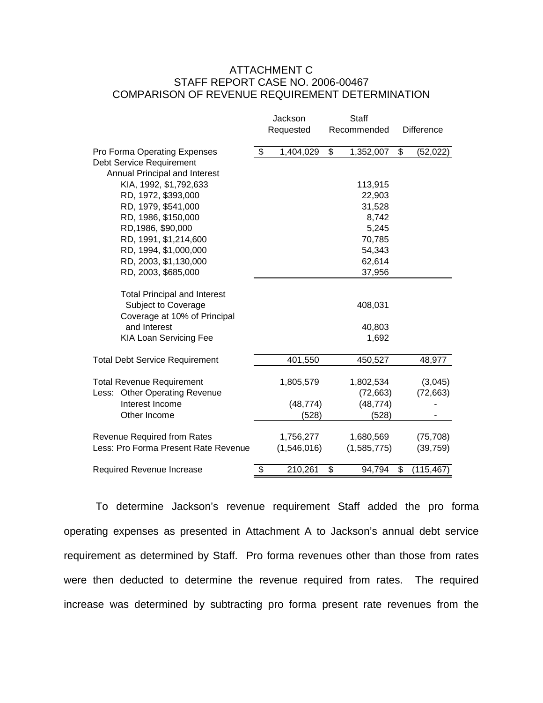### ATTACHMENT C STAFF REPORT CASE NO. 2006-00467 COMPARISON OF REVENUE REQUIREMENT DETERMINATION

|                                                                            | Jackson |                          | <b>Staff</b> |                          |    |                   |  |
|----------------------------------------------------------------------------|---------|--------------------------|--------------|--------------------------|----|-------------------|--|
|                                                                            |         | Requested                |              | Recommended              |    | <b>Difference</b> |  |
| Pro Forma Operating Expenses                                               | \$      | 1,404,029                | \$           | 1,352,007                | \$ | (52,022)          |  |
| Debt Service Requirement                                                   |         |                          |              |                          |    |                   |  |
| Annual Principal and Interest<br>KIA, 1992, \$1,792,633                    |         |                          |              |                          |    |                   |  |
| RD, 1972, \$393,000                                                        |         |                          |              | 113,915<br>22,903        |    |                   |  |
| RD, 1979, \$541,000                                                        |         |                          |              | 31,528                   |    |                   |  |
| RD, 1986, \$150,000                                                        |         |                          |              | 8,742                    |    |                   |  |
| RD, 1986, \$90,000                                                         |         |                          |              | 5,245                    |    |                   |  |
| RD, 1991, \$1,214,600                                                      |         |                          |              | 70,785                   |    |                   |  |
| RD, 1994, \$1,000,000                                                      |         |                          |              | 54,343                   |    |                   |  |
| RD, 2003, \$1,130,000                                                      |         |                          |              | 62,614                   |    |                   |  |
| RD, 2003, \$685,000                                                        |         |                          |              | 37,956                   |    |                   |  |
| <b>Total Principal and Interest</b>                                        |         |                          |              |                          |    |                   |  |
| Subject to Coverage                                                        |         |                          |              | 408,031                  |    |                   |  |
| Coverage at 10% of Principal                                               |         |                          |              |                          |    |                   |  |
| and Interest                                                               |         |                          |              | 40,803                   |    |                   |  |
| <b>KIA Loan Servicing Fee</b>                                              |         |                          |              | 1,692                    |    |                   |  |
| <b>Total Debt Service Requirement</b>                                      |         | 401,550                  |              | 450,527                  |    | 48,977            |  |
| <b>Total Revenue Requirement</b>                                           |         | 1,805,579                |              | 1,802,534                |    | (3,045)           |  |
| Less: Other Operating Revenue                                              |         |                          |              | (72, 663)                |    | (72, 663)         |  |
| Interest Income                                                            |         | (48, 774)                |              | (48, 774)                |    |                   |  |
| Other Income                                                               |         | (528)                    |              | (528)                    |    |                   |  |
|                                                                            |         |                          |              |                          |    |                   |  |
| <b>Revenue Required from Rates</b><br>Less: Pro Forma Present Rate Revenue |         | 1,756,277<br>(1,546,016) |              | 1,680,569<br>(1,585,775) |    | (75, 708)         |  |
|                                                                            |         |                          |              |                          |    | (39, 759)         |  |
| Required Revenue Increase                                                  | \$      | 210,261                  | \$           | 94,794                   | \$ | (115, 467)        |  |

To determine Jackson's revenue requirement Staff added the pro forma operating expenses as presented in Attachment A to Jackson's annual debt service requirement as determined by Staff. Pro forma revenues other than those from rates were then deducted to determine the revenue required from rates. The required increase was determined by subtracting pro forma present rate revenues from the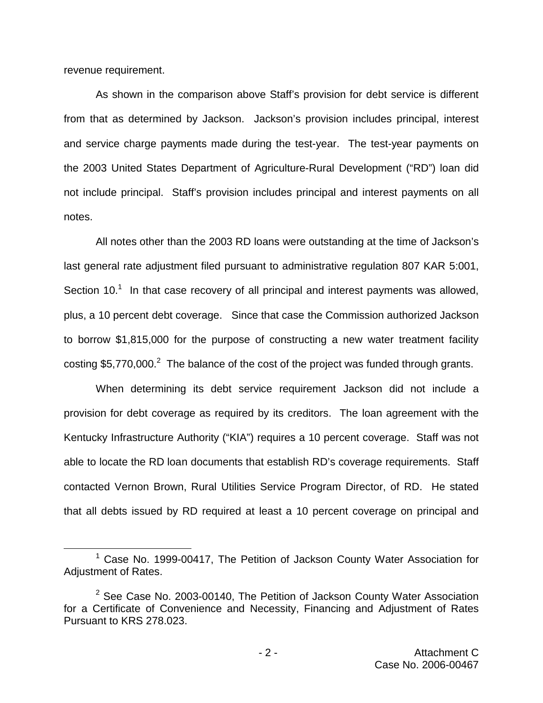revenue requirement.

As shown in the comparison above Staff's provision for debt service is different from that as determined by Jackson. Jackson's provision includes principal, interest and service charge payments made during the test-year. The test-year payments on the 2003 United States Department of Agriculture-Rural Development ("RD") loan did not include principal. Staff's provision includes principal and interest payments on all notes.

All notes other than the 2003 RD loans were outstanding at the time of Jackson's last general rate adjustment filed pursuant to administrative regulation 807 KAR 5:001, Section  $10<sup>1</sup>$  In that case recovery of all principal and interest payments was allowed, plus, a 10 percent debt coverage. Since that case the Commission authorized Jackson to borrow \$1,815,000 for the purpose of constructing a new water treatment facility costing \$5,770,000.<sup>2</sup> The balance of the cost of the project was funded through grants.

When determining its debt service requirement Jackson did not include a provision for debt coverage as required by its creditors. The loan agreement with the Kentucky Infrastructure Authority ("KIA") requires a 10 percent coverage. Staff was not able to locate the RD loan documents that establish RD's coverage requirements. Staff contacted Vernon Brown, Rural Utilities Service Program Director, of RD. He stated that all debts issued by RD required at least a 10 percent coverage on principal and

 $1$  Case No. 1999-00417, The Petition of Jackson County Water Association for Adjustment of Rates.

 $2$  See Case No. 2003-00140, The Petition of Jackson County Water Association for a Certificate of Convenience and Necessity, Financing and Adjustment of Rates Pursuant to KRS 278.023.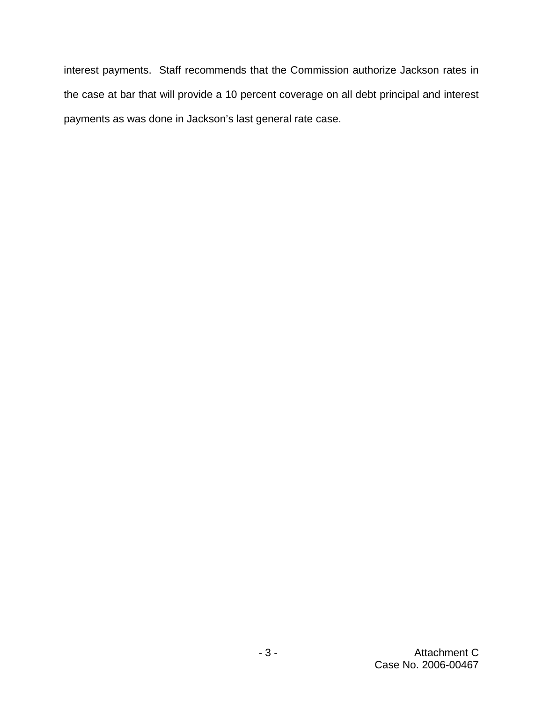interest payments. Staff recommends that the Commission authorize Jackson rates in the case at bar that will provide a 10 percent coverage on all debt principal and interest payments as was done in Jackson's last general rate case.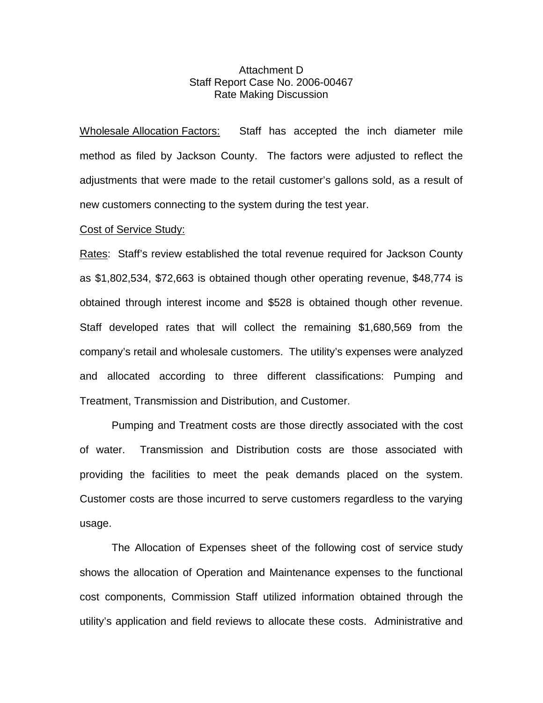### Attachment D Staff Report Case No. 2006-00467 Rate Making Discussion

Wholesale Allocation Factors: Staff has accepted the inch diameter mile method as filed by Jackson County. The factors were adjusted to reflect the adjustments that were made to the retail customer's gallons sold, as a result of new customers connecting to the system during the test year.

#### Cost of Service Study:

Rates: Staff's review established the total revenue required for Jackson County as \$1,802,534, \$72,663 is obtained though other operating revenue, \$48,774 is obtained through interest income and \$528 is obtained though other revenue. Staff developed rates that will collect the remaining \$1,680,569 from the company's retail and wholesale customers. The utility's expenses were analyzed and allocated according to three different classifications: Pumping and Treatment, Transmission and Distribution, and Customer.

Pumping and Treatment costs are those directly associated with the cost of water. Transmission and Distribution costs are those associated with providing the facilities to meet the peak demands placed on the system. Customer costs are those incurred to serve customers regardless to the varying usage.

The Allocation of Expenses sheet of the following cost of service study shows the allocation of Operation and Maintenance expenses to the functional cost components, Commission Staff utilized information obtained through the utility's application and field reviews to allocate these costs. Administrative and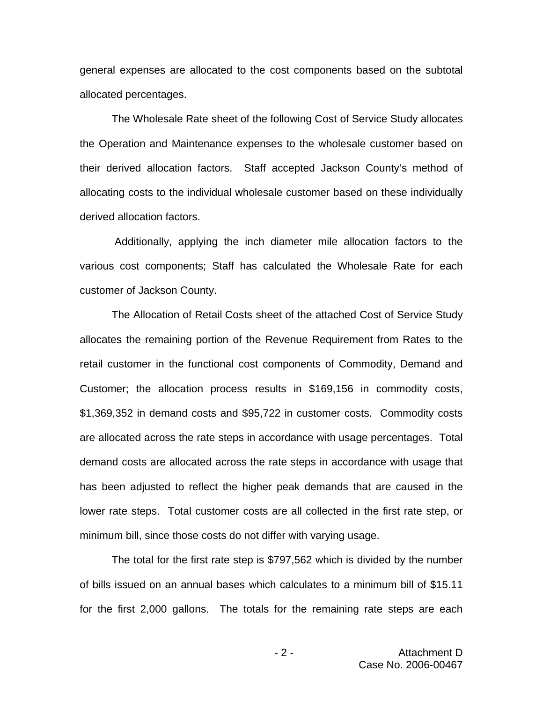general expenses are allocated to the cost components based on the subtotal allocated percentages.

The Wholesale Rate sheet of the following Cost of Service Study allocates the Operation and Maintenance expenses to the wholesale customer based on their derived allocation factors. Staff accepted Jackson County's method of allocating costs to the individual wholesale customer based on these individually derived allocation factors.

Additionally, applying the inch diameter mile allocation factors to the various cost components; Staff has calculated the Wholesale Rate for each customer of Jackson County.

The Allocation of Retail Costs sheet of the attached Cost of Service Study allocates the remaining portion of the Revenue Requirement from Rates to the retail customer in the functional cost components of Commodity, Demand and Customer; the allocation process results in \$169,156 in commodity costs, \$1,369,352 in demand costs and \$95,722 in customer costs. Commodity costs are allocated across the rate steps in accordance with usage percentages. Total demand costs are allocated across the rate steps in accordance with usage that has been adjusted to reflect the higher peak demands that are caused in the lower rate steps. Total customer costs are all collected in the first rate step, or minimum bill, since those costs do not differ with varying usage.

The total for the first rate step is \$797,562 which is divided by the number of bills issued on an annual bases which calculates to a minimum bill of \$15.11 for the first 2,000 gallons. The totals for the remaining rate steps are each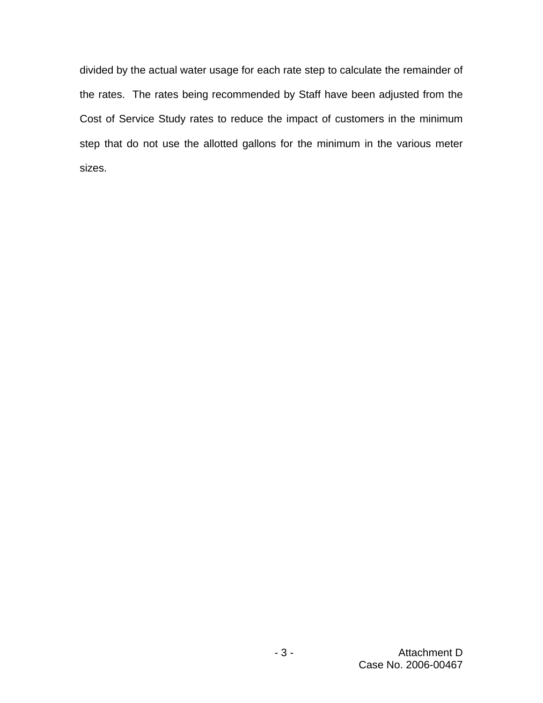divided by the actual water usage for each rate step to calculate the remainder of the rates. The rates being recommended by Staff have been adjusted from the Cost of Service Study rates to reduce the impact of customers in the minimum step that do not use the allotted gallons for the minimum in the various meter sizes.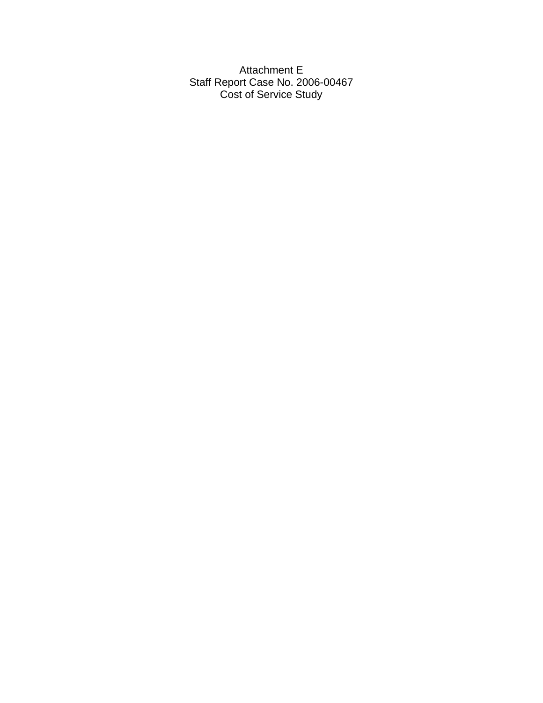Attachment E Staff Report Case No. 2006-00467 Cost of Service Study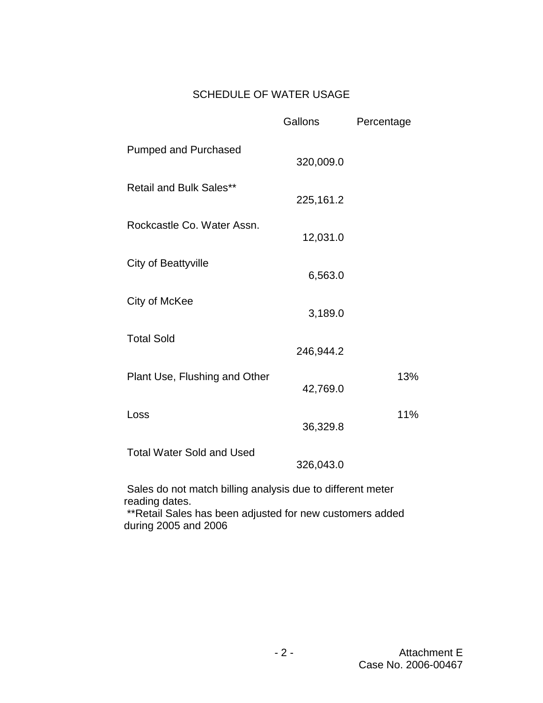# SCHEDULE OF WATER USAGE

|                                                            | Gallons   | Percentage |  |  |  |  |  |
|------------------------------------------------------------|-----------|------------|--|--|--|--|--|
| <b>Pumped and Purchased</b>                                | 320,009.0 |            |  |  |  |  |  |
| <b>Retail and Bulk Sales**</b>                             | 225,161.2 |            |  |  |  |  |  |
| Rockcastle Co. Water Assn.                                 | 12,031.0  |            |  |  |  |  |  |
| <b>City of Beattyville</b>                                 | 6,563.0   |            |  |  |  |  |  |
| City of McKee                                              | 3,189.0   |            |  |  |  |  |  |
| <b>Total Sold</b>                                          | 246,944.2 |            |  |  |  |  |  |
| Plant Use, Flushing and Other                              | 42,769.0  | 13%        |  |  |  |  |  |
| Loss                                                       | 36,329.8  | 11%        |  |  |  |  |  |
| <b>Total Water Sold and Used</b>                           | 326,043.0 |            |  |  |  |  |  |
| Sales do not match billing analysis due to different meter |           |            |  |  |  |  |  |

reading dates.

\*\*Retail Sales has been adjusted for new customers added during 2005 and 2006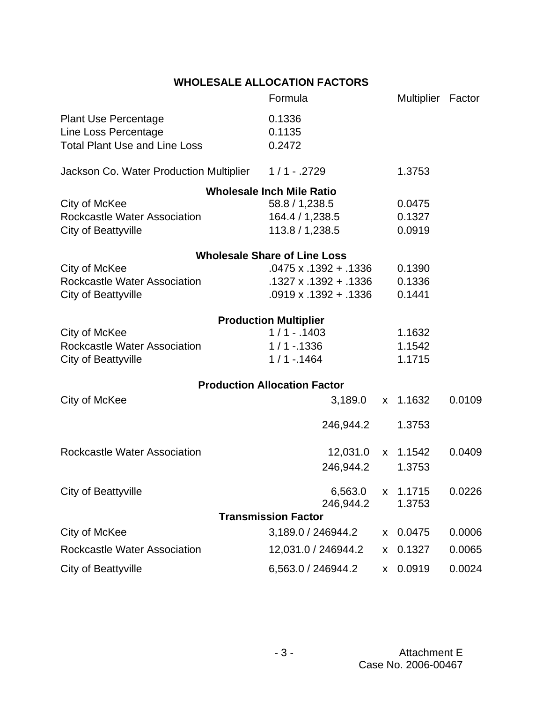## **WHOLESALE ALLOCATION FACTORS**

|                                                       | Formula                             |    | Multiplier Factor |        |
|-------------------------------------------------------|-------------------------------------|----|-------------------|--------|
| <b>Plant Use Percentage</b>                           | 0.1336                              |    |                   |        |
| Line Loss Percentage                                  | 0.1135                              |    |                   |        |
| <b>Total Plant Use and Line Loss</b>                  | 0.2472                              |    |                   |        |
| Jackson Co. Water Production Multiplier 1 / 1 - .2729 |                                     |    | 1.3753            |        |
|                                                       | <b>Wholesale Inch Mile Ratio</b>    |    |                   |        |
| City of McKee                                         | 58.8 / 1,238.5                      |    | 0.0475            |        |
| <b>Rockcastle Water Association</b>                   | 164.4 / 1,238.5                     |    | 0.1327            |        |
| <b>City of Beattyville</b>                            | 113.8 / 1,238.5                     |    | 0.0919            |        |
|                                                       | <b>Wholesale Share of Line Loss</b> |    |                   |        |
| City of McKee                                         | $.0475 \times .1392 + .1336$        |    | 0.1390            |        |
| Rockcastle Water Association                          | .1327 x .1392 + .1336               |    | 0.1336            |        |
| <b>City of Beattyville</b>                            | $.0919 \times .1392 + .1336$        |    | 0.1441            |        |
|                                                       | <b>Production Multiplier</b>        |    |                   |        |
| City of McKee                                         | $1/1 - .1403$                       |    | 1.1632            |        |
| Rockcastle Water Association                          | $1/1 - 1336$                        |    | 1.1542            |        |
| <b>City of Beattyville</b>                            | $1/1 - 1464$                        |    | 1.1715            |        |
|                                                       | <b>Production Allocation Factor</b> |    |                   |        |
| City of McKee                                         | 3,189.0                             | X. | 1.1632            | 0.0109 |
|                                                       | 246,944.2                           |    | 1.3753            |        |
| <b>Rockcastle Water Association</b>                   | 12,031.0                            |    | x 1.1542          | 0.0409 |
|                                                       | 246,944.2                           |    | 1.3753            |        |
| City of Beattyville                                   | 6,563.0 x 1.1715                    |    |                   | 0.0226 |
|                                                       | 246,944.2                           |    | 1.3753            |        |
|                                                       | <b>Transmission Factor</b>          |    |                   |        |
| City of McKee                                         | 3,189.0 / 246944.2                  |    | x 0.0475          | 0.0006 |
| Rockcastle Water Association                          | 12,031.0 / 246944.2                 |    | x 0.1327          | 0.0065 |
| City of Beattyville                                   | 6,563.0 / 246944.2                  |    | x 0.0919          | 0.0024 |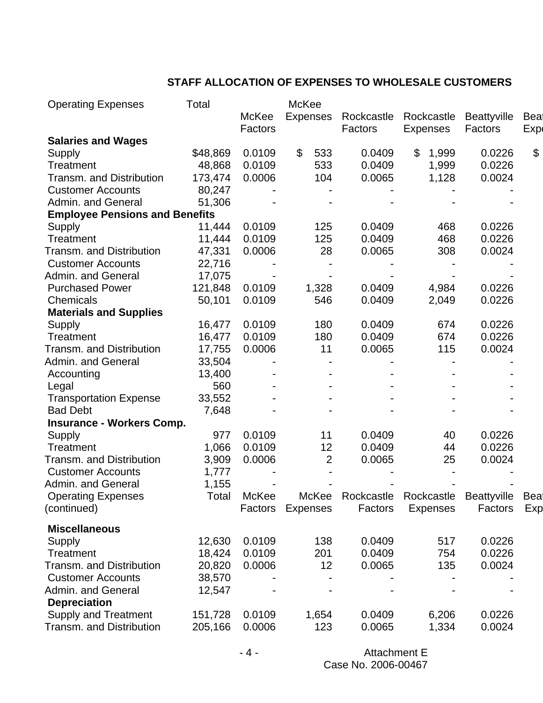## **STAFF ALLOCATION OF EXPENSES TO WHOLESALE CUSTOMERS**

| <b>Operating Expenses</b>                    | Total            |                  | McKee           |                  |                 |                  |     |
|----------------------------------------------|------------------|------------------|-----------------|------------------|-----------------|------------------|-----|
|                                              |                  | McKee            | <b>Expenses</b> | Rockcastle       | Rockcastle      | Beattyville      | Bea |
|                                              |                  | Factors          |                 | Factors          | <b>Expenses</b> | Factors          | Exp |
| <b>Salaries and Wages</b>                    |                  |                  |                 |                  |                 |                  |     |
| Supply                                       | \$48,869         | 0.0109           | $\$\$<br>533    | 0.0409           | \$<br>1,999     | 0.0226           | \$  |
| <b>Treatment</b>                             | 48,868           | 0.0109           | 533             | 0.0409           | 1,999           | 0.0226           |     |
| <b>Transm. and Distribution</b>              | 173,474          | 0.0006           | 104             | 0.0065           | 1,128           | 0.0024           |     |
| <b>Customer Accounts</b>                     | 80,247           |                  |                 |                  |                 |                  |     |
| Admin. and General                           | 51,306           |                  |                 |                  |                 |                  |     |
| <b>Employee Pensions and Benefits</b>        |                  |                  |                 |                  |                 |                  |     |
| Supply                                       | 11,444           | 0.0109           | 125             | 0.0409           | 468             | 0.0226           |     |
| Treatment                                    | 11,444           | 0.0109           | 125             | 0.0409           | 468             | 0.0226           |     |
| Transm. and Distribution                     | 47,331           | 0.0006           | 28              | 0.0065           | 308             | 0.0024           |     |
| <b>Customer Accounts</b>                     | 22,716           |                  |                 |                  |                 |                  |     |
| Admin. and General                           | 17,075           |                  |                 |                  |                 |                  |     |
| <b>Purchased Power</b>                       | 121,848          | 0.0109           | 1,328           | 0.0409           | 4,984           | 0.0226           |     |
| Chemicals                                    | 50,101           | 0.0109           | 546             | 0.0409           | 2,049           | 0.0226           |     |
| <b>Materials and Supplies</b>                |                  |                  |                 |                  |                 |                  |     |
| Supply                                       | 16,477           | 0.0109           | 180             | 0.0409           | 674             | 0.0226           |     |
| <b>Treatment</b>                             | 16,477           | 0.0109           | 180             | 0.0409           | 674             | 0.0226           |     |
| Transm. and Distribution                     | 17,755           | 0.0006           | 11              | 0.0065           | 115             | 0.0024           |     |
| Admin. and General                           | 33,504           |                  |                 |                  |                 |                  |     |
| Accounting                                   | 13,400           |                  |                 |                  |                 |                  |     |
| Legal                                        | 560              |                  |                 |                  |                 |                  |     |
| <b>Transportation Expense</b>                | 33,552           |                  |                 |                  |                 |                  |     |
| <b>Bad Debt</b>                              | 7,648            |                  |                 |                  |                 |                  |     |
| <b>Insurance - Workers Comp.</b>             |                  |                  |                 |                  |                 |                  |     |
| Supply                                       | 977              | 0.0109           | 11              | 0.0409           | 40              | 0.0226           |     |
| <b>Treatment</b>                             | 1,066            | 0.0109           | 12              | 0.0409           | 44              | 0.0226           |     |
| <b>Transm. and Distribution</b>              | 3,909            | 0.0006           | $\overline{2}$  | 0.0065           | 25              | 0.0024           |     |
| <b>Customer Accounts</b>                     | 1,777            |                  |                 |                  |                 |                  |     |
| Admin. and General                           | 1,155            |                  |                 |                  |                 |                  |     |
| <b>Operating Expenses</b>                    | Total            | McKee            | McKee           | Rockcastle       | Rockcastle      | Beattyville      | Bea |
| (continued)                                  |                  | Factors          | <b>Expenses</b> | Factors          | <b>Expenses</b> | Factors          | Exp |
|                                              |                  |                  |                 |                  |                 |                  |     |
| <b>Miscellaneous</b>                         |                  |                  |                 |                  |                 |                  |     |
| Supply                                       | 12,630           | 0.0109<br>0.0109 | 138             | 0.0409<br>0.0409 | 517             | 0.0226<br>0.0226 |     |
| <b>Treatment</b><br>Transm. and Distribution | 18,424<br>20,820 |                  | 201<br>12       | 0.0065           | 754             |                  |     |
| <b>Customer Accounts</b>                     |                  | 0.0006           |                 |                  | 135             | 0.0024           |     |
|                                              | 38,570           |                  |                 |                  |                 |                  |     |
| Admin. and General                           | 12,547           |                  |                 |                  |                 |                  |     |
| <b>Depreciation</b>                          |                  |                  |                 |                  |                 |                  |     |
| <b>Supply and Treatment</b>                  | 151,728          | 0.0109           | 1,654           | 0.0409           | 6,206           | 0.0226           |     |
| Transm. and Distribution                     | 205,166          | 0.0006           | 123             | 0.0065           | 1,334           | 0.0024           |     |

- 4 - Attachment E Case No. 2006-00467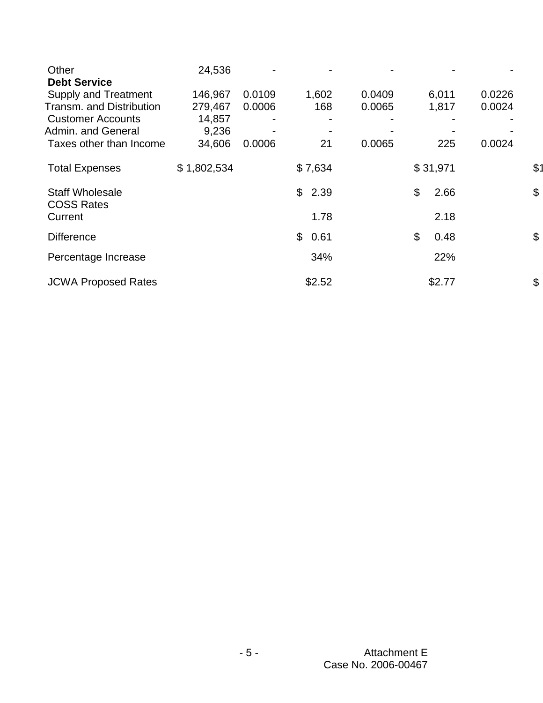| Other<br><b>Debt Service</b>                | 24,536      |        |                      |        |            |        |               |
|---------------------------------------------|-------------|--------|----------------------|--------|------------|--------|---------------|
| <b>Supply and Treatment</b>                 | 146,967     | 0.0109 | 1,602                | 0.0409 | 6,011      | 0.0226 |               |
| <b>Transm. and Distribution</b>             | 279,467     | 0.0006 | 168                  | 0.0065 | 1,817      | 0.0024 |               |
| <b>Customer Accounts</b>                    | 14,857      |        |                      |        |            |        |               |
| Admin. and General                          | 9,236       |        |                      |        |            |        |               |
| Taxes other than Income                     | 34,606      | 0.0006 | 21                   | 0.0065 | 225        | 0.0024 |               |
| <b>Total Expenses</b>                       | \$1,802,534 |        | \$7,634              |        | \$31,971   |        | \$1           |
| <b>Staff Wholesale</b><br><b>COSS Rates</b> |             |        | $\mathbb{S}$<br>2.39 |        | \$<br>2.66 |        | $\mathcal{L}$ |
| Current                                     |             |        | 1.78                 |        | 2.18       |        |               |
| <b>Difference</b>                           |             |        | \$<br>0.61           |        | \$<br>0.48 |        | \$            |
| Percentage Increase                         |             |        | 34%                  |        | 22%        |        |               |
| <b>JCWA Proposed Rates</b>                  |             |        | \$2.52               |        | \$2.77     |        | \$            |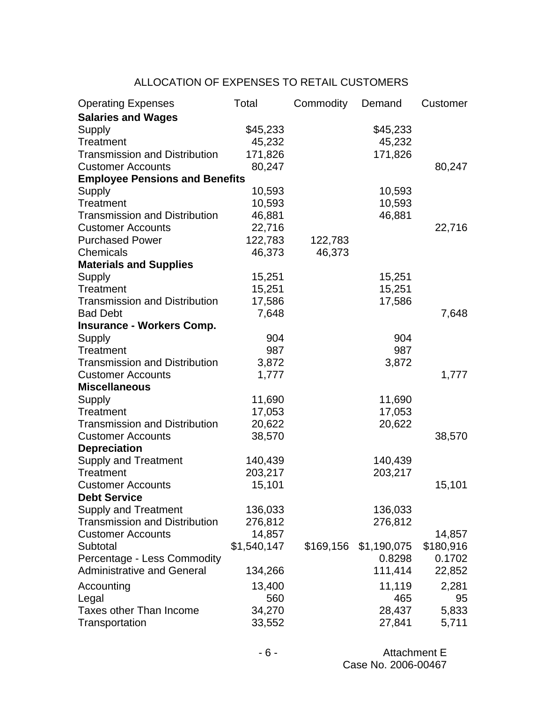## ALLOCATION OF EXPENSES TO RETAIL CUSTOMERS

| <b>Operating Expenses</b>             | Total       | Commodity | Demand      | Customer  |
|---------------------------------------|-------------|-----------|-------------|-----------|
| <b>Salaries and Wages</b>             |             |           |             |           |
| Supply                                | \$45,233    |           | \$45,233    |           |
| Treatment                             | 45,232      |           | 45,232      |           |
| <b>Transmission and Distribution</b>  | 171,826     |           | 171,826     |           |
| <b>Customer Accounts</b>              | 80,247      |           |             | 80,247    |
| <b>Employee Pensions and Benefits</b> |             |           |             |           |
| Supply                                | 10,593      |           | 10,593      |           |
| Treatment                             | 10,593      |           | 10,593      |           |
| <b>Transmission and Distribution</b>  | 46,881      |           | 46,881      |           |
| <b>Customer Accounts</b>              | 22,716      |           |             | 22,716    |
| <b>Purchased Power</b>                | 122,783     | 122,783   |             |           |
| Chemicals                             | 46,373      | 46,373    |             |           |
| <b>Materials and Supplies</b>         |             |           |             |           |
| Supply                                | 15,251      |           | 15,251      |           |
| Treatment                             | 15,251      |           | 15,251      |           |
| <b>Transmission and Distribution</b>  | 17,586      |           | 17,586      |           |
| <b>Bad Debt</b>                       | 7,648       |           |             | 7,648     |
| <b>Insurance - Workers Comp.</b>      |             |           |             |           |
| <b>Supply</b>                         | 904         |           | 904         |           |
| Treatment                             | 987         |           | 987         |           |
| <b>Transmission and Distribution</b>  | 3,872       |           | 3,872       |           |
| <b>Customer Accounts</b>              | 1,777       |           |             | 1,777     |
| <b>Miscellaneous</b>                  |             |           |             |           |
| Supply                                | 11,690      |           | 11,690      |           |
| Treatment                             | 17,053      |           | 17,053      |           |
| <b>Transmission and Distribution</b>  | 20,622      |           | 20,622      |           |
| <b>Customer Accounts</b>              | 38,570      |           |             | 38,570    |
| <b>Depreciation</b>                   |             |           |             |           |
| <b>Supply and Treatment</b>           | 140,439     |           | 140,439     |           |
| Treatment                             | 203,217     |           | 203,217     |           |
| <b>Customer Accounts</b>              | 15,101      |           |             | 15,101    |
| <b>Debt Service</b>                   |             |           |             |           |
| <b>Supply and Treatment</b>           | 136,033     |           | 136,033     |           |
| <b>Transmission and Distribution</b>  | 276,812     |           | 276,812     |           |
| <b>Customer Accounts</b>              | 14,857      |           |             | 14,857    |
| Subtotal                              | \$1,540,147 | \$169,156 | \$1,190,075 | \$180,916 |
| Percentage - Less Commodity           |             |           | 0.8298      | 0.1702    |
| <b>Administrative and General</b>     | 134,266     |           | 111,414     | 22,852    |
| Accounting                            | 13,400      |           | 11,119      | 2,281     |
| Legal                                 | 560         |           | 465         | 95        |
| Taxes other Than Income               | 34,270      |           | 28,437      | 5,833     |
| Transportation                        | 33,552      |           | 27,841      | 5,711     |

- 6 - Attachment E Case No. 2006-00467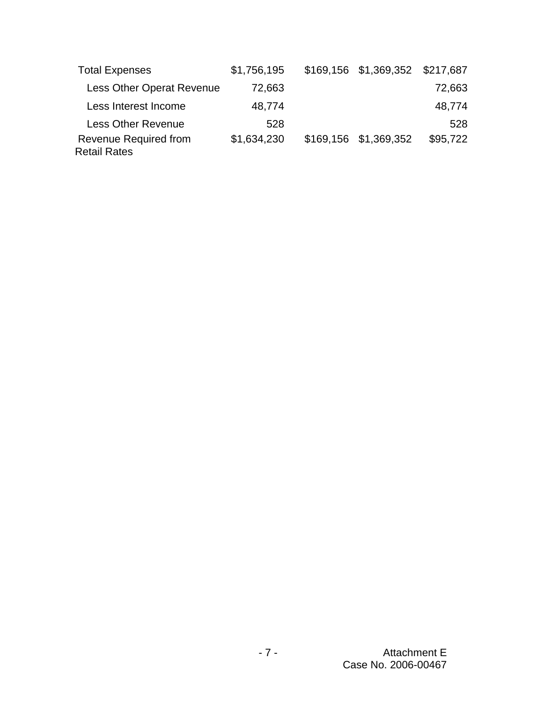| <b>Total Expenses</b>                               | \$1,756,195 | \$169,156 \$1,369,352 \$217,687 |          |
|-----------------------------------------------------|-------------|---------------------------------|----------|
| Less Other Operat Revenue                           | 72,663      |                                 | 72,663   |
| Less Interest Income                                | 48,774      |                                 | 48,774   |
| <b>Less Other Revenue</b>                           | 528         |                                 | 528      |
| <b>Revenue Required from</b><br><b>Retail Rates</b> | \$1,634,230 | \$169,156 \$1,369,352           | \$95,722 |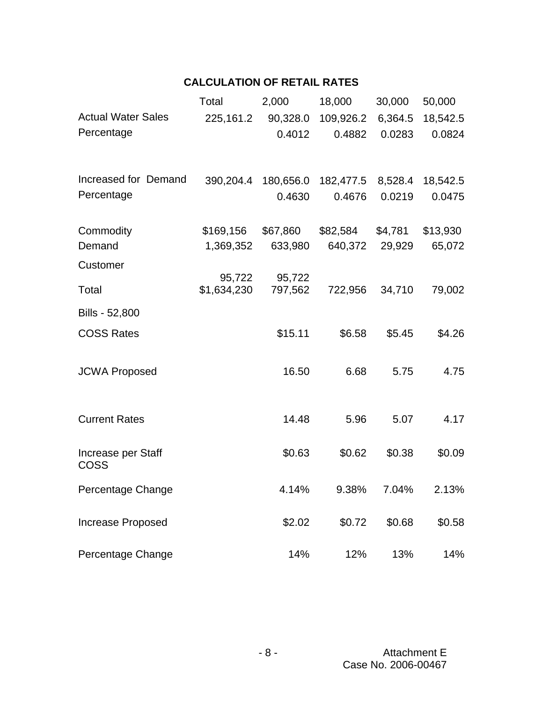# **CALCULATION OF RETAIL RATES**

|                                   | Total                 | 2,000             | 18,000              | 30,000         | 50,000   |
|-----------------------------------|-----------------------|-------------------|---------------------|----------------|----------|
| <b>Actual Water Sales</b>         | 225,161.2             | 90,328.0          | 109,926.2           | 6,364.5        | 18,542.5 |
| Percentage                        |                       | 0.4012            | 0.4882              | 0.0283         | 0.0824   |
|                                   |                       |                   |                     |                |          |
| Increased for Demand              | 390,204.4             |                   | 180,656.0 182,477.5 | 8,528.4        | 18,542.5 |
| Percentage                        |                       | 0.4630            | 0.4676              | 0.0219         | 0.0475   |
|                                   |                       |                   |                     |                |          |
| Commodity                         | \$169,156             | \$67,860          | \$82,584            | \$4,781        | \$13,930 |
| Demand                            | 1,369,352             | 633,980           |                     | 640,372 29,929 | 65,072   |
| Customer                          |                       |                   |                     |                |          |
| Total                             | 95,722<br>\$1,634,230 | 95,722<br>797,562 | 722,956             | 34,710         |          |
|                                   |                       |                   |                     |                | 79,002   |
| Bills - 52,800                    |                       |                   |                     |                |          |
| <b>COSS Rates</b>                 |                       | \$15.11           | \$6.58              | \$5.45         | \$4.26   |
|                                   |                       |                   |                     |                |          |
| <b>JCWA Proposed</b>              |                       | 16.50             | 6.68                | 5.75           | 4.75     |
|                                   |                       |                   |                     |                |          |
|                                   |                       |                   |                     |                |          |
| <b>Current Rates</b>              |                       | 14.48             | 5.96                | 5.07           | 4.17     |
|                                   |                       |                   |                     |                |          |
| Increase per Staff<br><b>COSS</b> |                       | \$0.63            | \$0.62              | \$0.38         | \$0.09   |
|                                   |                       |                   |                     |                |          |
| Percentage Change                 |                       | 4.14%             | 9.38%               | 7.04%          | 2.13%    |
|                                   |                       |                   |                     |                |          |
| <b>Increase Proposed</b>          |                       | \$2.02            | \$0.72              | \$0.68         | \$0.58   |
| Percentage Change                 |                       | 14%               | 12%                 | 13%            | 14%      |
|                                   |                       |                   |                     |                |          |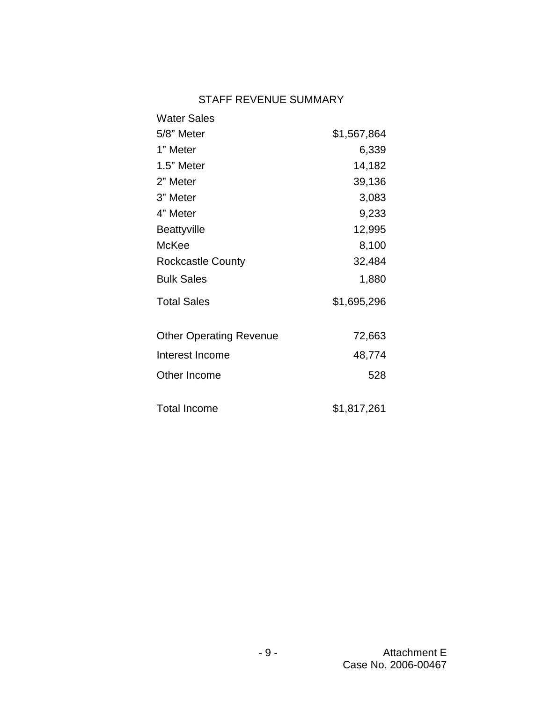## STAFF REVENUE SUMMARY

| <b>Water Sales</b>             |             |
|--------------------------------|-------------|
| 5/8" Meter                     | \$1,567,864 |
| 1" Meter                       | 6,339       |
| 1.5" Meter                     | 14,182      |
| 2" Meter                       | 39,136      |
| 3" Meter                       | 3,083       |
| 4" Meter                       | 9,233       |
| <b>Beattyville</b>             | 12,995      |
| McKee                          | 8,100       |
| <b>Rockcastle County</b>       | 32,484      |
| <b>Bulk Sales</b>              | 1,880       |
| <b>Total Sales</b>             | \$1,695,296 |
| <b>Other Operating Revenue</b> | 72,663      |
| Interest Income                | 48,774      |
| Other Income                   | 528         |
| <b>Total Income</b>            | \$1,817,261 |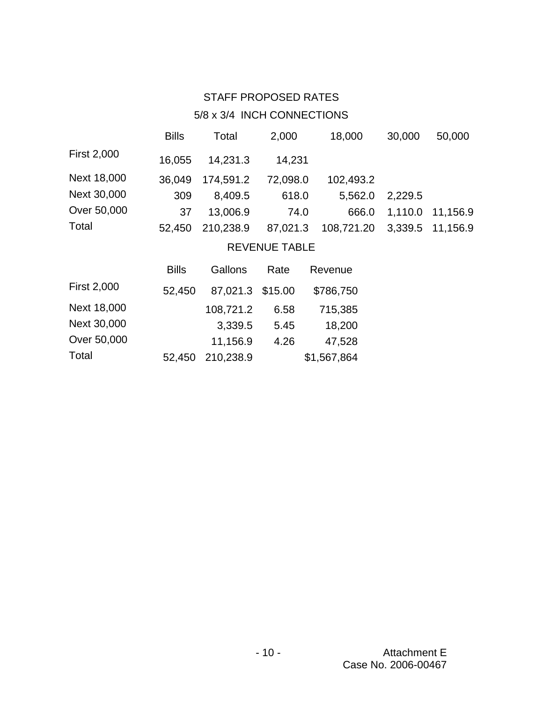# STAFF PROPOSED RATES

# 5/8 x 3/4 INCH CONNECTIONS

|                    | <b>Bills</b> | Total     | 2,000                | 18,000     | 30,000  | 50,000   |
|--------------------|--------------|-----------|----------------------|------------|---------|----------|
| <b>First 2,000</b> | 16,055       | 14,231.3  | 14,231               |            |         |          |
| Next 18,000        | 36,049       | 174,591.2 | 72,098.0             | 102,493.2  |         |          |
| Next 30,000        | 309          | 8,409.5   | 618.0                | 5,562.0    | 2,229.5 |          |
| Over 50,000        | 37           | 13,006.9  | 74.0                 | 666.0      | 1,110.0 | 11,156.9 |
| Total              | 52,450       | 210,238.9 | 87,021.3             | 108,721.20 | 3.339.5 | 11,156.9 |
|                    |              |           | <b>REVENUE TABLE</b> |            |         |          |

|                    | <b>Bills</b> | Gallons          | Rate | Revenue     |
|--------------------|--------------|------------------|------|-------------|
| <b>First 2,000</b> | 52,450       | 87,021.3 \$15.00 |      | \$786,750   |
| Next 18,000        |              | 108,721.2        | 6.58 | 715,385     |
| Next 30,000        |              | 3,339.5          | 5.45 | 18,200      |
| Over 50,000        |              | 11,156.9         | 4.26 | 47,528      |
| Total              | 52,450       | 210,238.9        |      | \$1,567,864 |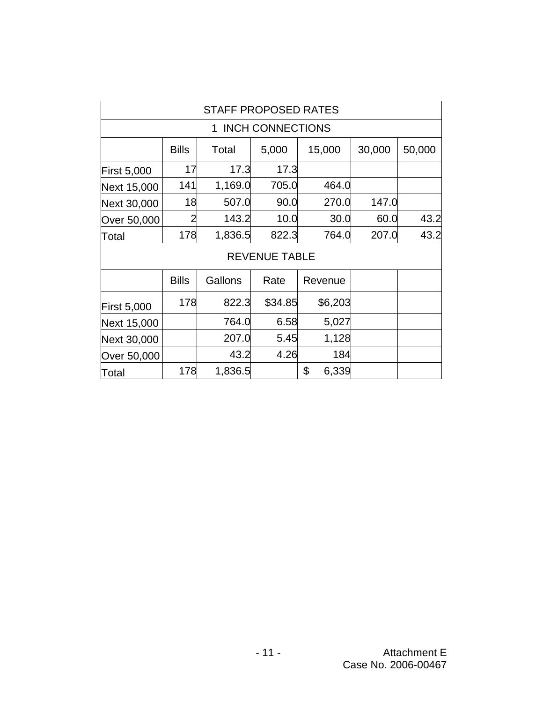| STAFF PROPOSED RATES          |                |         |                      |             |       |      |  |  |
|-------------------------------|----------------|---------|----------------------|-------------|-------|------|--|--|
| <b>INCH CONNECTIONS</b><br>1. |                |         |                      |             |       |      |  |  |
|                               | 30,000         | 50,000  |                      |             |       |      |  |  |
| <b>First 5,000</b>            | 17             | 17.3    | 17.3                 |             |       |      |  |  |
| Next 15,000                   | 141            | 1,169.0 | 705.0                | 464.0       |       |      |  |  |
| Next 30,000                   | 18             | 507.0   | 90.0                 | 270.0       | 147.0 |      |  |  |
| Over 50,000                   | $\overline{2}$ | 143.2   | 10.0                 | 30.0        | 60.0  | 43.2 |  |  |
| Total                         | 178            | 1,836.5 | 822.3                | 764.0       | 207.0 | 43.2 |  |  |
|                               |                |         | <b>REVENUE TABLE</b> |             |       |      |  |  |
|                               | <b>Bills</b>   | Gallons | Rate                 | Revenue     |       |      |  |  |
| <b>First 5,000</b>            | 178            | 822.3   | \$34.85              | \$6,203     |       |      |  |  |
| Next 15,000                   |                | 764.0   | 6.58                 | 5,027       |       |      |  |  |
| Next 30,000                   |                | 207.0   | 5.45                 | 1,128       |       |      |  |  |
| Over 50,000                   |                | 43.2    | 4.26                 | 184         |       |      |  |  |
| Total                         | 178            | 1,836.5 |                      | \$<br>6,339 |       |      |  |  |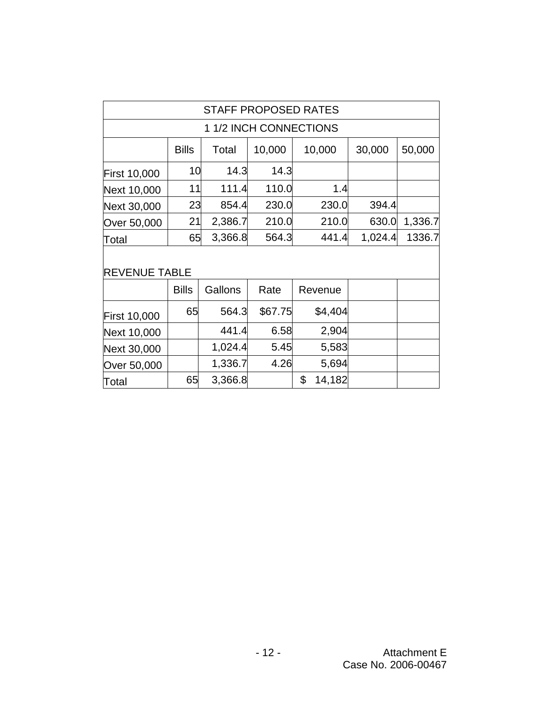| <b>STAFF PROPOSED RATES</b> |              |         |         |              |         |         |  |  |  |
|-----------------------------|--------------|---------|---------|--------------|---------|---------|--|--|--|
| 1 1/2 INCH CONNECTIONS      |              |         |         |              |         |         |  |  |  |
|                             | <b>Bills</b> | Total   | 10,000  | 10,000       | 30,000  | 50,000  |  |  |  |
| <b>First 10,000</b>         | 10           | 14.3    | 14.3    |              |         |         |  |  |  |
| Next 10,000                 | 11           | 111.4   | 110.0   | 1.4          |         |         |  |  |  |
| Next 30,000                 | 23           | 854.4   | 230.0   | 230.0        | 394.4   |         |  |  |  |
| Over 50,000                 | 21           | 2,386.7 | 210.0   | 210.0        | 630.0   | 1,336.7 |  |  |  |
| Total                       | 65           | 3,366.8 | 564.3   | 441.4        | 1,024.4 | 1336.7  |  |  |  |
| <b>REVENUE TABLE</b>        |              |         |         |              |         |         |  |  |  |
|                             | <b>Bills</b> | Gallons | Rate    | Revenue      |         |         |  |  |  |
| <b>First 10,000</b>         | 65           | 564.3   | \$67.75 | \$4,404      |         |         |  |  |  |
| Next 10,000                 |              | 441.4   | 6.58    | 2,904        |         |         |  |  |  |
| Next 30,000                 |              | 1,024.4 | 5.45    | 5,583        |         |         |  |  |  |
| Over 50,000                 |              | 1,336.7 | 4.26    | 5,694        |         |         |  |  |  |
| Total                       | 65           | 3,366.8 |         | \$<br>14,182 |         |         |  |  |  |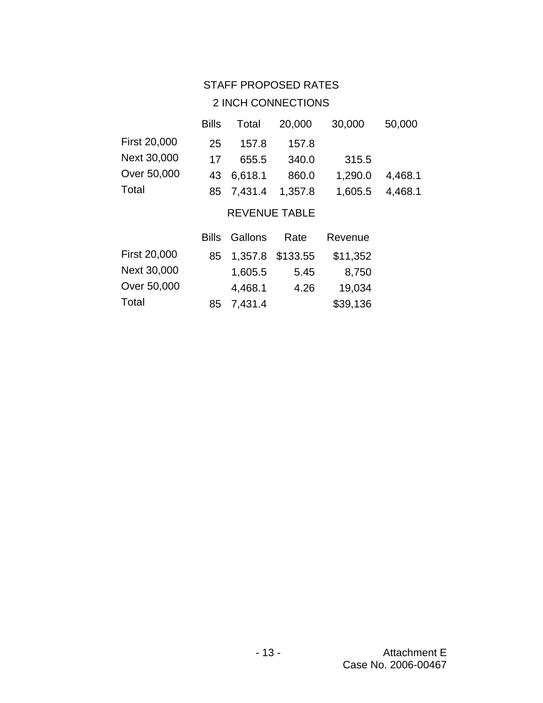## STAFF PROPOSED RATES

# 2 INCH CONNECTIONS

|                      | <b>Bills</b> | Total      | 20,000  | 30,000  | 50,000  |  |  |
|----------------------|--------------|------------|---------|---------|---------|--|--|
| <b>First 20,000</b>  | 25           | 157.8      | 157.8   |         |         |  |  |
| Next 30,000          | 17           | 655.5      | 340.0   | 315.5   |         |  |  |
| Over 50,000          | 43           | 6,618.1    | 860.0   | 1,290.0 | 4,468.1 |  |  |
| Total                |              | 85 7,431.4 | 1,357.8 | 1,605.5 | 4,468.1 |  |  |
| <b>REVENUE TABLE</b> |              |            |         |         |         |  |  |

|              |    | <b>Bills</b> Gallons | Rate | Revenue  |
|--------------|----|----------------------|------|----------|
| First 20,000 | 85 | 1,357.8 \$133.55     |      | \$11,352 |
| Next 30,000  |    | 1,605.5              | 5.45 | 8,750    |
| Over 50,000  |    | 4,468.1              | 4.26 | 19,034   |
| Total        | 85 | 7,431.4              |      | \$39,136 |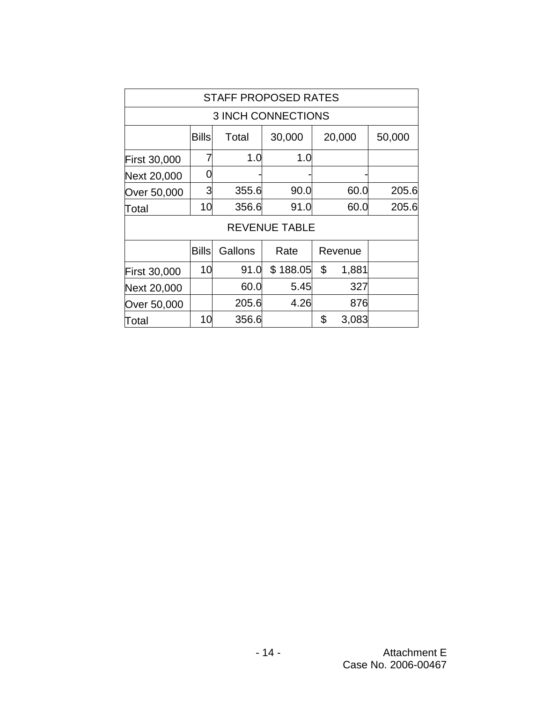| <b>STAFF PROPOSED RATES</b> |              |                           |                      |    |         |       |  |  |
|-----------------------------|--------------|---------------------------|----------------------|----|---------|-------|--|--|
|                             |              | <b>3 INCH CONNECTIONS</b> |                      |    |         |       |  |  |
|                             | 50,000       |                           |                      |    |         |       |  |  |
| <b>First 30,000</b>         |              | 1.0                       | 1.0                  |    |         |       |  |  |
| Next 20,000                 |              |                           |                      |    |         |       |  |  |
| Over 50,000                 | 3            | 355.6                     | 90.0                 |    | 60.0    | 205.6 |  |  |
| Total                       | 10           | 356.6                     | 91.0                 |    | 60.0    | 205.6 |  |  |
|                             |              |                           | <b>REVENUE TABLE</b> |    |         |       |  |  |
|                             | <b>Bills</b> | Gallons                   | Rate                 |    | Revenue |       |  |  |
| <b>First 30,000</b>         | 10           | 91.0                      | \$188.05             | \$ | 1,881   |       |  |  |
| Next 20,000                 |              | 60.0                      | 5.45                 |    | 327     |       |  |  |
| Over 50,000                 |              | 205.6                     | 4.26                 |    | 876     |       |  |  |
| Total                       | 10           | 356.6                     |                      | \$ | 3,083   |       |  |  |